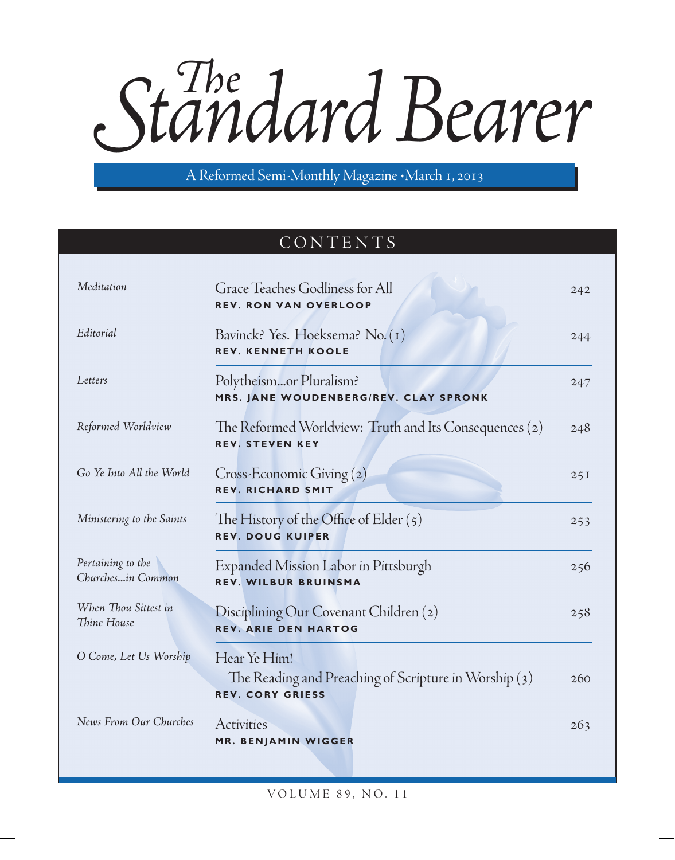Standard Bearer

A Reformed Semi-Monthly Magazine · March 1, 2013

# CONTENTS

| Meditation                             | Grace Teaches Godliness for All<br><b>REV. RON VAN OVERLOOP</b>                                  | 242 |
|----------------------------------------|--------------------------------------------------------------------------------------------------|-----|
| Editorial                              | Bavinck? Yes. Hoeksema? No. (1)<br><b>REV. KENNETH KOOLE</b>                                     | 244 |
| Letters                                | Polytheismor Pluralism?<br>MRS. JANE WOUDENBERG/REV. CLAY SPRONK                                 | 247 |
| Reformed Worldview                     | The Reformed Worldview: Truth and Its Consequences (2)<br><b>REV. STEVEN KEY</b>                 | 248 |
| Go Ye Into All the World               | $Cross-Economic Giving(2)$<br><b>REV. RICHARD SMIT</b>                                           | 25I |
| Ministering to the Saints              | The History of the Office of Elder $(5)$<br><b>REV. DOUG KUIPER</b>                              | 253 |
| Pertaining to the<br>Churchesin Common | Expanded Mission Labor in Pittsburgh<br><b>REV. WILBUR BRUINSMA</b>                              | 256 |
| When Thou Sittest in<br>Thine House    | Disciplining Our Covenant Children (2)<br><b>REV. ARIE DEN HARTOG</b>                            | 258 |
| O Come, Let Us Worship                 | Hear Ye Him!<br>The Reading and Preaching of Scripture in Worship (3)<br><b>REV. CORY GRIESS</b> | 260 |
| News From Our Churches                 | Activities<br>MR. BENJAMIN WIGGER                                                                | 263 |

volu m e 89, no. 11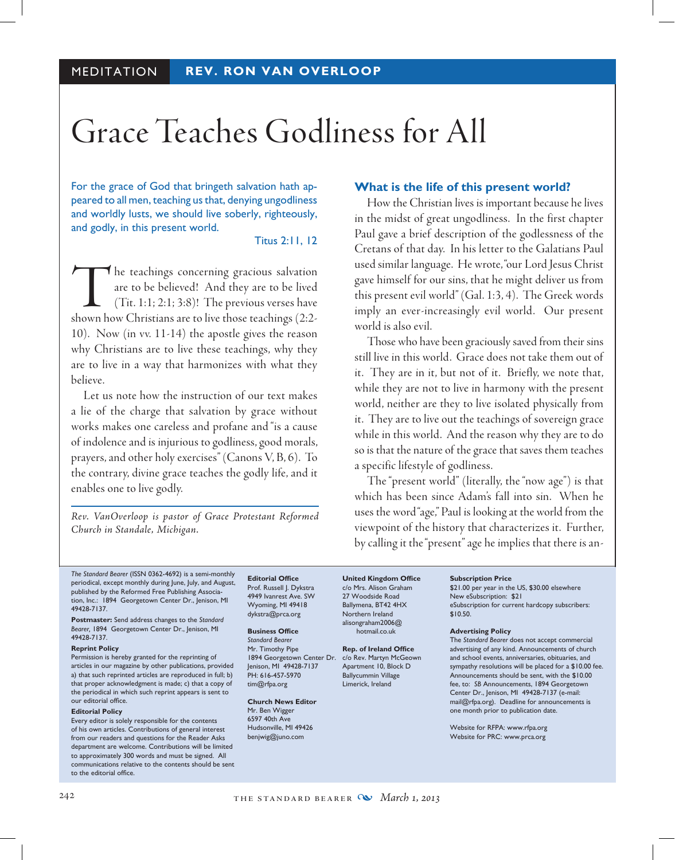# Grace Teaches Godliness for All

For the grace of God that bringeth salvation hath appeared to all men, teaching us that, denying ungodliness and worldly lusts, we should live soberly, righteously, and godly, in this present world.

### Titus 2:11, 12

The teachings concerning gracious salvation<br>are to be believed! And they are to be lived<br>(Tit. 1:1; 2:1; 3:8)! The previous verses have<br>shown how Christians are to live those teachings (2:2are to be believed! And they are to be lived (Tit. 1:1; 2:1; 3:8)! The previous verses have shown how Christians are to live those teachings (2:2- 10). Now (in vv. 11-14) the apostle gives the reason why Christians are to live these teachings, why they are to live in a way that harmonizes with what they believe.

Let us note how the instruction of our text makes a lie of the charge that salvation by grace without works makes one careless and profane and "is a cause of indolence and is injurious to godliness, good morals, prayers, and other holy exercises" (Canons V, B, 6). To the contrary, divine grace teaches the godly life, and it enables one to live godly.

*Rev. VanOverloop is pastor of Grace Protestant Reformed Church in Standale, Michigan.*

### **What is the life of this present world?**

How the Christian lives is important because he lives in the midst of great ungodliness. In the first chapter Paul gave a brief description of the godlessness of the Cretans of that day. In his letter to the Galatians Paul used similar language. He wrote, "our Lord Jesus Christ gave himself for our sins, that he might deliver us from this present evil world" (Gal. 1:3, 4). The Greek words imply an ever-increasingly evil world. Our present world is also evil.

Those who have been graciously saved from their sins still live in this world. Grace does not take them out of it. They are in it, but not of it. Briefly, we note that, while they are not to live in harmony with the present world, neither are they to live isolated physically from it. They are to live out the teachings of sovereign grace while in this world. And the reason why they are to do so is that the nature of the grace that saves them teaches a specific lifestyle of godliness.

The "present world" (literally, the "now age") is that which has been since Adam's fall into sin. When he uses the word "age," Paul is looking at the world from the viewpoint of the history that characterizes it. Further, by calling it the "present" age he implies that there is an-

*The Standard Bearer* (ISSN 0362-4692) is a semi-monthly periodical, except monthly during June, July, and August, published by the Reformed Free Publishing Association, Inc.: 1894 Georgetown Center Dr., Jenison, MI 49428-7137.

**Postmaster:** Send address changes to the *Standard Bearer,* 1894 Georgetown Center Dr., Jenison, MI 49428-7137.

### **Reprint Policy**

Permission is hereby granted for the reprinting of articles in our magazine by other publications, provided a) that such reprinted articles are reproduced in full; b) that proper acknowledgment is made; c) that a copy of the periodical in which such reprint appears is sent to our editorial office.

#### **Editorial Policy**

Every editor is solely responsible for the contents of his own articles. Contributions of general interest from our readers and questions for the Reader Asks department are welcome. Contributions will be limited to approximately 300 words and must be signed. All communications relative to the contents should be sent to the editorial office.

**Editorial Office** Prof. Russell J. Dykstra 4949 Ivanrest Ave. SW Wyoming, MI 49418 dykstra@prca.org

#### **Business Office** *Standard Bearer*

Mr. Timothy Pipe 1894 Georgetown Center Dr. c/o Rev. Martyn McGeown Jenison, MI 49428-7137 PH: 616-457-5970 tim@rfpa.org

### **Church News Editor** Mr. Ben Wigger 6597 40th Ave

Hudsonville, MI 49426 benjwig@juno.com

**United Kingdom Office** c/o Mrs. Alison Graham 27 Woodside Road Ballymena, BT42 4HX Northern Ireland alisongraham2006@ hotmail.co.uk

**Rep. of Ireland Office** Apartment 10, Block D Ballycummin Village Limerick, Ireland

#### **Subscription Price**

\$21.00 per year in the US, \$30.00 elsewhere New eSubscription: \$21 eSubscription for current hardcopy subscribers: \$10.50.

#### **Advertising Policy**

The *Standard Bearer* does not accept commercial advertising of any kind. Announcements of church and school events, anniversaries, obituaries, and sympathy resolutions will be placed for a \$10.00 fee. Announcements should be sent, with the \$10.00 fee, to: *SB* Announcements, 1894 Georgetown Center Dr., Jenison, MI 49428-7137 (e-mail: mail@rfpa.org). Deadline for announcements is one month prior to publication date.

Website for RFPA: www.rfpa.org Website for PRC: www.prca.org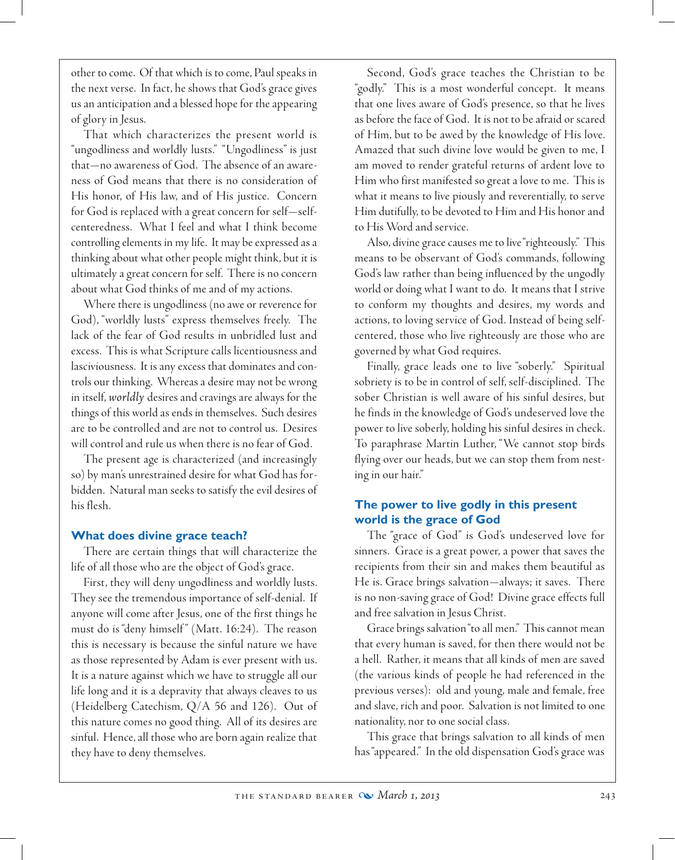other to come. Of that which is to come, Paul speaks in the next verse. In fact, he shows that God's grace gives us an anticipation and a blessed hope for the appearing of glory in Jesus.

That which characterizes the present world is "ungodliness and worldly lusts." "Ungodliness" is just that—no awareness of God. The absence of an awareness of God means that there is no consideration of His honor, of His law, and of His justice. Concern for God is replaced with a great concern for self—selfcenteredness. What I feel and what I think become controlling elements in my life. It may be expressed as a thinking about what other people might think, but it is ultimately a great concern for self. There is no concern about what God thinks of me and of my actions.

Where there is ungodliness (no awe or reverence for God), "worldly lusts" express themselves freely. The lack of the fear of God results in unbridled lust and excess. This is what Scripture calls licentiousness and lasciviousness. It is any excess that dominates and controls our thinking. Whereas a desire may not be wrong in itself, *worldly* desires and cravings are always for the things of this world as ends in themselves. Such desires are to be controlled and are not to control us. Desires will control and rule us when there is no fear of God.

The present age is characterized (and increasingly so) by man's unrestrained desire for what God has forbidden. Natural man seeks to satisfy the evil desires of his flesh.

### **What does divine grace teach?**

There are certain things that will characterize the life of all those who are the object of God's grace.

First, they will deny ungodliness and worldly lusts. They see the tremendous importance of self-denial. If anyone will come after Jesus, one of the first things he must do is "deny himself " (Matt. 16:24). The reason this is necessary is because the sinful nature we have as those represented by Adam is ever present with us. It is a nature against which we have to struggle all our life long and it is a depravity that always cleaves to us (Heidelberg Catechism, Q/A 56 and 126). Out of this nature comes no good thing. All of its desires are sinful. Hence, all those who are born again realize that they have to deny themselves.

Second, God's grace teaches the Christian to be "godly." This is a most wonderful concept. It means that one lives aware of God's presence, so that he lives as before the face of God. It is not to be afraid or scared of Him, but to be awed by the knowledge of His love. Amazed that such divine love would be given to me, I am moved to render grateful returns of ardent love to Him who first manifested so great a love to me. This is what it means to live piously and reverentially, to serve Him dutifully, to be devoted to Him and His honor and to His Word and service.

Also, divine grace causes me to live "righteously." This means to be observant of God's commands, following God's law rather than being influenced by the ungodly world or doing what I want to do. It means that I strive to conform my thoughts and desires, my words and actions, to loving service of God. Instead of being selfcentered, those who live righteously are those who are governed by what God requires.

Finally, grace leads one to live "soberly." Spiritual sobriety is to be in control of self, self-disciplined. The sober Christian is well aware of his sinful desires, but he finds in the knowledge of God's undeserved love the power to live soberly, holding his sinful desires in check. To paraphrase Martin Luther, "We cannot stop birds flying over our heads, but we can stop them from nesting in our hair."

## **The power to live godly in this present world is the grace of God**

The "grace of God" is God's undeserved love for sinners. Grace is a great power, a power that saves the recipients from their sin and makes them beautiful as He is. Grace brings salvation—always; it saves. There is no non-saving grace of God! Divine grace effects full and free salvation in Jesus Christ.

Grace brings salvation "to all men." This cannot mean that every human is saved, for then there would not be a hell. Rather, it means that all kinds of men are saved (the various kinds of people he had referenced in the previous verses): old and young, male and female, free and slave, rich and poor. Salvation is not limited to one nationality, nor to one social class.

This grace that brings salvation to all kinds of men has "appeared." In the old dispensation God's grace was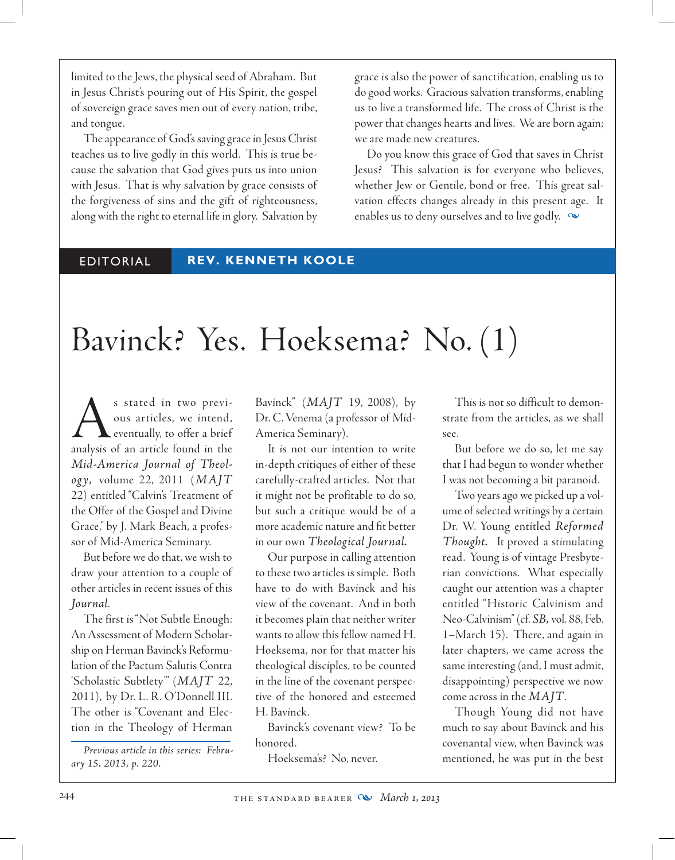limited to the Jews, the physical seed of Abraham. But in Jesus Christ's pouring out of His Spirit, the gospel of sovereign grace saves men out of every nation, tribe, and tongue.

The appearance of God's saving grace in Jesus Christ teaches us to live godly in this world. This is true because the salvation that God gives puts us into union with Jesus. That is why salvation by grace consists of the forgiveness of sins and the gift of righteousness, along with the right to eternal life in glory. Salvation by grace is also the power of sanctification, enabling us to do good works. Gracious salvation transforms, enabling us to live a transformed life. The cross of Christ is the power that changes hearts and lives. We are born again; we are made new creatures.

Do you know this grace of God that saves in Christ Jesus? This salvation is for everyone who believes, whether Jew or Gentile, bond or free. This great salvation effects changes already in this present age. It enables us to deny ourselves and to live godly.  $\infty$ 

# editorial **REV. KENNETH KOOLE**

# Bavinck? Yes. Hoeksema? No. (1)

As stated in two previ-<br>ous articles, we intend,<br>analysis of an article found in the ous articles, we intend, eventually, to offer a brief *Mid-America Journal of Theology,* volume 22, 2011 (*MAJT*  22) entitled "Calvin's Treatment of the Offer of the Gospel and Divine Grace," by J. Mark Beach, a professor of Mid-America Seminary.

But before we do that, we wish to draw your attention to a couple of other articles in recent issues of this *Journal*.

The first is "Not Subtle Enough: An Assessment of Modern Scholarship on Herman Bavinck's Reformulation of the Pactum Salutis Contra 'Scholastic Subtlety'" (*MAJT* 22, 2011), by Dr. L. R. O'Donnell III. The other is "Covenant and Election in the Theology of Herman

*Previous article in this series: February 15, 2013, p. 220.*

Bavinck" (*MAJT* 19, 2008), by Dr. C. Venema (a professor of Mid-America Seminary).

It is not our intention to write in-depth critiques of either of these carefully-crafted articles. Not that it might not be profitable to do so, but such a critique would be of a more academic nature and fit better in our own *Theological Journal.* 

Our purpose in calling attention to these two articles is simple. Both have to do with Bavinck and his view of the covenant. And in both it becomes plain that neither writer wants to allow this fellow named H. Hoeksema, nor for that matter his theological disciples, to be counted in the line of the covenant perspective of the honored and esteemed H. Bavinck.

Bavinck's covenant view? To be honored.

Hoeksema's? No, never.

This is not so difficult to demonstrate from the articles, as we shall see.

But before we do so, let me say that I had begun to wonder whether I was not becoming a bit paranoid.

Two years ago we picked up a volume of selected writings by a certain Dr. W. Young entitled *Reformed Thought.* It proved a stimulating read. Young is of vintage Presbyterian convictions. What especially caught our attention was a chapter entitled "Historic Calvinism and Neo-Calvinism" (cf. *SB,* vol. 88, Feb. 1–March 15). There, and again in later chapters, we came across the same interesting (and, I must admit, disappointing) perspective we now come across in the *MAJT*.

Though Young did not have much to say about Bavinck and his covenantal view, when Bavinck was mentioned, he was put in the best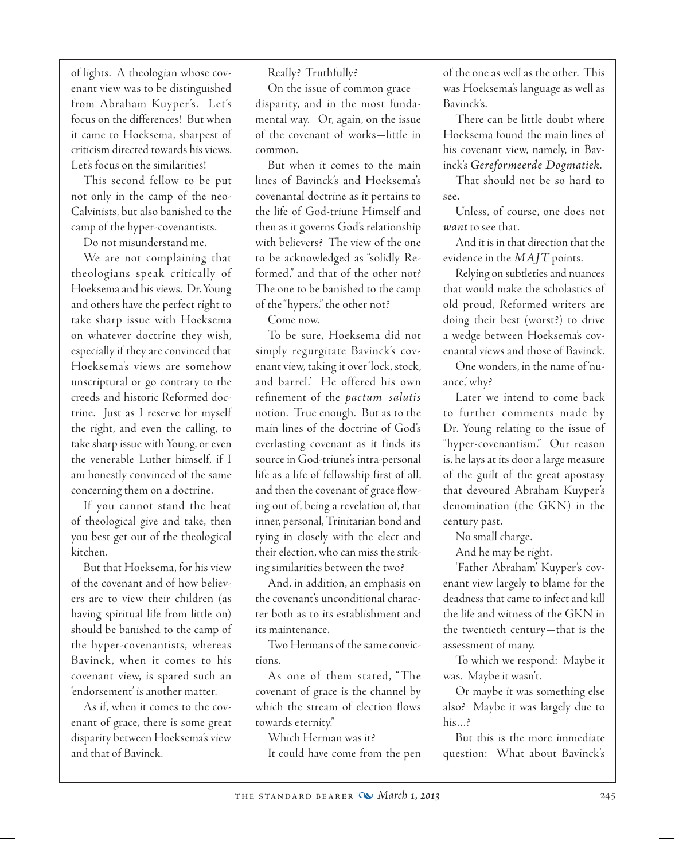of lights. A theologian whose covenant view was to be distinguished from Abraham Kuyper's. Let's focus on the differences! But when it came to Hoeksema, sharpest of criticism directed towards his views. Let's focus on the similarities!

This second fellow to be put not only in the camp of the neo-Calvinists, but also banished to the camp of the hyper-covenantists.

Do not misunderstand me.

We are not complaining that theologians speak critically of Hoeksema and his views. Dr. Young and others have the perfect right to take sharp issue with Hoeksema on whatever doctrine they wish, especially if they are convinced that Hoeksema's views are somehow unscriptural or go contrary to the creeds and historic Reformed doctrine. Just as I reserve for myself the right, and even the calling, to take sharp issue with Young, or even the venerable Luther himself, if I am honestly convinced of the same concerning them on a doctrine.

If you cannot stand the heat of theological give and take, then you best get out of the theological kitchen.

But that Hoeksema, for his view of the covenant and of how believers are to view their children (as having spiritual life from little on) should be banished to the camp of the hyper-covenantists, whereas Bavinck, when it comes to his covenant view, is spared such an 'endorsement' is another matter.

As if, when it comes to the covenant of grace, there is some great disparity between Hoeksema's view and that of Bavinck.

Really? Truthfully?

On the issue of common grace disparity, and in the most fundamental way. Or, again, on the issue of the covenant of works—little in common.

But when it comes to the main lines of Bavinck's and Hoeksema's covenantal doctrine as it pertains to the life of God-triune Himself and then as it governs God's relationship with believers? The view of the one to be acknowledged as "solidly Reformed," and that of the other not? The one to be banished to the camp of the "hypers," the other not?

Come now.

To be sure, Hoeksema did not simply regurgitate Bavinck's covenant view, taking it over 'lock, stock, and barrel.' He offered his own refinement of the *pactum salutis* notion. True enough. But as to the main lines of the doctrine of God's everlasting covenant as it finds its source in God-triune's intra-personal life as a life of fellowship first of all, and then the covenant of grace flowing out of, being a revelation of, that inner, personal, Trinitarian bond and tying in closely with the elect and their election, who can miss the striking similarities between the two?

And, in addition, an emphasis on the covenant's unconditional character both as to its establishment and its maintenance.

Two Hermans of the same convictions.

As one of them stated, "The covenant of grace is the channel by which the stream of election flows towards eternity."

Which Herman was it? It could have come from the pen of the one as well as the other. This was Hoeksema's language as well as Bavinck's.

There can be little doubt where Hoeksema found the main lines of his covenant view, namely, in Bavinck's *Gereformeerde Dogmatiek*.

That should not be so hard to see.

 Unless, of course, one does not *want* to see that.

And it is in that direction that the evidence in the *MAJT* points.

Relying on subtleties and nuances that would make the scholastics of old proud, Reformed writers are doing their best (worst?) to drive a wedge between Hoeksema's covenantal views and those of Bavinck.

 One wonders, in the name of 'nuance,' why?

Later we intend to come back to further comments made by Dr. Young relating to the issue of "hyper-covenantism." Our reason is, he lays at its door a large measure of the guilt of the great apostasy that devoured Abraham Kuyper's denomination (the GKN) in the century past.

No small charge.

And he may be right.

'Father Abraham' Kuyper's covenant view largely to blame for the deadness that came to infect and kill the life and witness of the GKN in the twentieth century—that is the assessment of many.

To which we respond: Maybe it was. Maybe it wasn't.

Or maybe it was something else also? Maybe it was largely due to his…?

But this is the more immediate question: What about Bavinck's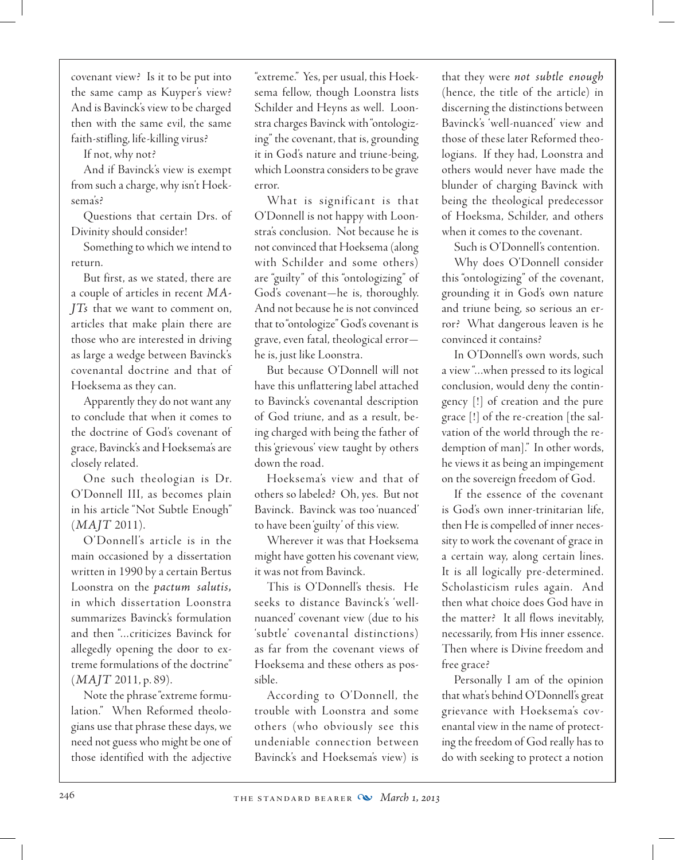covenant view? Is it to be put into the same camp as Kuyper's view? And is Bavinck's view to be charged then with the same evil, the same faith-stifling, life-killing virus?

If not, why not?

And if Bavinck's view is exempt from such a charge, why isn't Hoeksema's?

Questions that certain Drs. of Divinity should consider!

Something to which we intend to return.

But first, as we stated, there are a couple of articles in recent *MA-JTs* that we want to comment on, articles that make plain there are those who are interested in driving as large a wedge between Bavinck's covenantal doctrine and that of Hoeksema as they can.

Apparently they do not want any to conclude that when it comes to the doctrine of God's covenant of grace, Bavinck's and Hoeksema's are closely related.

One such theologian is Dr. O'Donnell III, as becomes plain in his article "Not Subtle Enough" (*MAJT* 2011).

O'Donnell's article is in the main occasioned by a dissertation written in 1990 by a certain Bertus Loonstra on the *pactum salutis,* in which dissertation Loonstra summarizes Bavinck's formulation and then "…criticizes Bavinck for allegedly opening the door to extreme formulations of the doctrine" (*MAJT* 2011, p. 89).

Note the phrase "extreme formulation." When Reformed theologians use that phrase these days, we need not guess who might be one of those identified with the adjective

"extreme." Yes, per usual, this Hoeksema fellow, though Loonstra lists Schilder and Heyns as well. Loonstra charges Bavinck with "ontologizing" the covenant, that is, grounding it in God's nature and triune-being, which Loonstra considers to be grave error.

What is significant is that O'Donnell is not happy with Loonstra's conclusion. Not because he is not convinced that Hoeksema (along with Schilder and some others) are "guilty" of this "ontologizing" of God's covenant—he is, thoroughly. And not because he is not convinced that to "ontologize" God's covenant is grave, even fatal, theological error he is, just like Loonstra.

But because O'Donnell will not have this unflattering label attached to Bavinck's covenantal description of God triune, and as a result, being charged with being the father of this 'grievous' view taught by others down the road.

Hoeksema's view and that of others so labeled? Oh, yes. But not Bavinck. Bavinck was too 'nuanced' to have been 'guilty' of this view.

Wherever it was that Hoeksema might have gotten his covenant view, it was not from Bavinck.

This is O'Donnell's thesis. He seeks to distance Bavinck's 'wellnuanced' covenant view (due to his 'subtle' covenantal distinctions) as far from the covenant views of Hoeksema and these others as possible.

According to O'Donnell, the trouble with Loonstra and some others (who obviously see this undeniable connection between Bavinck's and Hoeksema's view) is

that they were *not subtle enough*  (hence, the title of the article) in discerning the distinctions between Bavinck's 'well-nuanced' view and those of these later Reformed theologians. If they had, Loonstra and others would never have made the blunder of charging Bavinck with being the theological predecessor of Hoeksma, Schilder, and others when it comes to the covenant.

Such is O'Donnell's contention.

Why does O'Donnell consider this "ontologizing" of the covenant, grounding it in God's own nature and triune being, so serious an error? What dangerous leaven is he convinced it contains?

In O'Donnell's own words, such a view "…when pressed to its logical conclusion, would deny the contingency [!] of creation and the pure grace [!] of the re-creation [the salvation of the world through the redemption of man]." In other words, he views it as being an impingement on the sovereign freedom of God.

If the essence of the covenant is God's own inner-trinitarian life, then He is compelled of inner necessity to work the covenant of grace in a certain way, along certain lines. It is all logically pre-determined. Scholasticism rules again. And then what choice does God have in the matter? It all flows inevitably, necessarily, from His inner essence. Then where is Divine freedom and free grace?

Personally I am of the opinion that what's behind O'Donnell's great grievance with Hoeksema's covenantal view in the name of protecting the freedom of God really has to do with seeking to protect a notion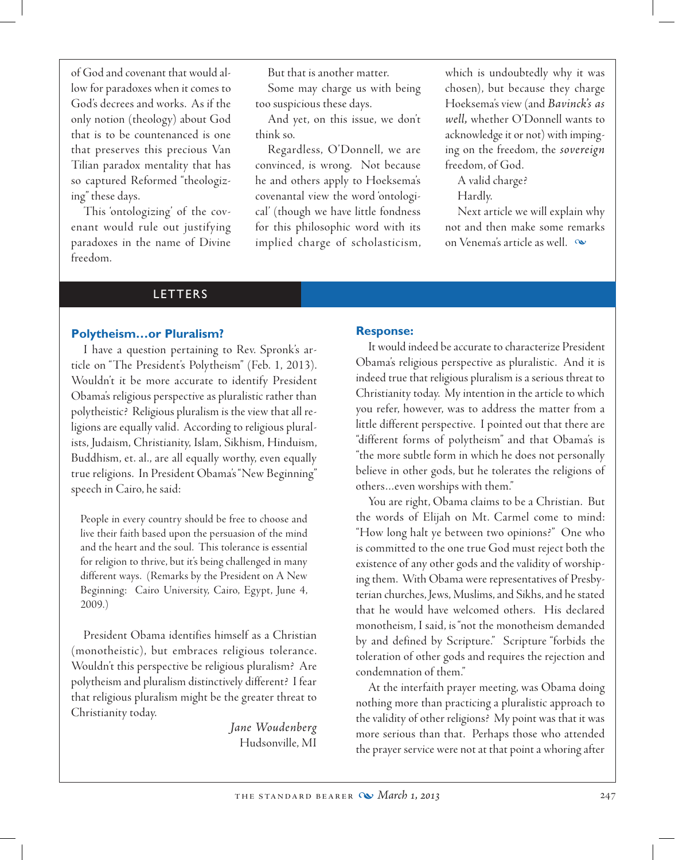of God and covenant that would allow for paradoxes when it comes to God's decrees and works. As if the only notion (theology) about God that is to be countenanced is one that preserves this precious Van Tilian paradox mentality that has so captured Reformed "theologizing" these days.

This 'ontologizing' of the covenant would rule out justifying paradoxes in the name of Divine freedom.

But that is another matter.

Some may charge us with being too suspicious these days.

And yet, on this issue, we don't think so.

Regardless, O'Donnell, we are convinced, is wrong. Not because he and others apply to Hoeksema's covenantal view the word 'ontological' (though we have little fondness for this philosophic word with its implied charge of scholasticism,

which is undoubtedly why it was chosen), but because they charge Hoeksema's view (and *Bavinck's as well,* whether O'Donnell wants to acknowledge it or not) with impinging on the freedom, the *sovereign* freedom, of God.

A valid charge?

Hardly.

Next article we will explain why not and then make some remarks on Venema's article as well.  $\infty$ 

### LETTERS

### **Polytheism…or Pluralism?**

I have a question pertaining to Rev. Spronk's article on "The President's Polytheism" (Feb. 1, 2013). Wouldn't it be more accurate to identify President Obama's religious perspective as pluralistic rather than polytheistic? Religious pluralism is the view that all religions are equally valid. According to religious pluralists, Judaism, Christianity, Islam, Sikhism, Hinduism, Buddhism, et. al., are all equally worthy, even equally true religions. In President Obama's "New Beginning" speech in Cairo, he said:

People in every country should be free to choose and live their faith based upon the persuasion of the mind and the heart and the soul. This tolerance is essential for religion to thrive, but it's being challenged in many different ways. (Remarks by the President on A New Beginning: Cairo University, Cairo, Egypt, June 4, 2009.)

President Obama identifies himself as a Christian (monotheistic), but embraces religious tolerance. Wouldn't this perspective be religious pluralism? Are polytheism and pluralism distinctively different? I fear that religious pluralism might be the greater threat to Christianity today.

> *Jane Woudenberg* Hudsonville, MI

### **Response:**

It would indeed be accurate to characterize President Obama's religious perspective as pluralistic. And it is indeed true that religious pluralism is a serious threat to Christianity today. My intention in the article to which you refer, however, was to address the matter from a little different perspective. I pointed out that there are "different forms of polytheism" and that Obama's is "the more subtle form in which he does not personally believe in other gods, but he tolerates the religions of others…even worships with them."

You are right, Obama claims to be a Christian. But the words of Elijah on Mt. Carmel come to mind: "How long halt ye between two opinions?" One who is committed to the one true God must reject both the existence of any other gods and the validity of worshiping them. With Obama were representatives of Presbyterian churches, Jews, Muslims, and Sikhs, and he stated that he would have welcomed others. His declared monotheism, I said, is "not the monotheism demanded by and defined by Scripture." Scripture "forbids the toleration of other gods and requires the rejection and condemnation of them."

At the interfaith prayer meeting, was Obama doing nothing more than practicing a pluralistic approach to the validity of other religions? My point was that it was more serious than that. Perhaps those who attended the prayer service were not at that point a whoring after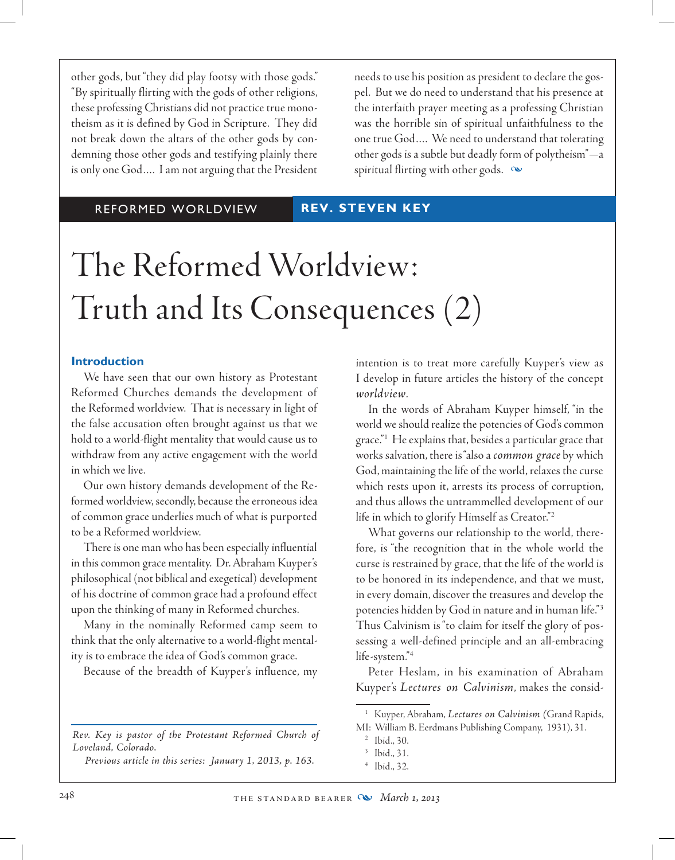other gods, but "they did play footsy with those gods." "By spiritually flirting with the gods of other religions, these professing Christians did not practice true monotheism as it is defined by God in Scripture. They did not break down the altars of the other gods by condemning those other gods and testifying plainly there is only one God…. I am not arguing that the President

needs to use his position as president to declare the gospel. But we do need to understand that his presence at the interfaith prayer meeting as a professing Christian was the horrible sin of spiritual unfaithfulness to the one true God…. We need to understand that tolerating other gods is a subtle but deadly form of polytheism"—a spiritual flirting with other gods.  $\infty$ 

### REFORMED WORLDVIEW **REV. STEVEN KEY**

# The Reformed Worldview: Truth and Its Consequences (2)

### **Introduction**

We have seen that our own history as Protestant Reformed Churches demands the development of the Reformed worldview. That is necessary in light of the false accusation often brought against us that we hold to a world-flight mentality that would cause us to withdraw from any active engagement with the world in which we live.

Our own history demands development of the Reformed worldview, secondly, because the erroneous idea of common grace underlies much of what is purported to be a Reformed worldview.

There is one man who has been especially influential in this common grace mentality. Dr. Abraham Kuyper's philosophical (not biblical and exegetical) development of his doctrine of common grace had a profound effect upon the thinking of many in Reformed churches.

Many in the nominally Reformed camp seem to think that the only alternative to a world-flight mentality is to embrace the idea of God's common grace.

Because of the breadth of Kuyper's influence, my

*Rev. Key is pastor of the Protestant Reformed Church of Loveland, Colorado.*

*Previous article in this series: January 1, 2013, p. 163.*

intention is to treat more carefully Kuyper's view as I develop in future articles the history of the concept *worldview*.

In the words of Abraham Kuyper himself, "in the world we should realize the potencies of God's common grace."1 He explains that, besides a particular grace that works salvation, there is "also a *common grace* by which God, maintaining the life of the world, relaxes the curse which rests upon it, arrests its process of corruption, and thus allows the untrammelled development of our life in which to glorify Himself as Creator."2

What governs our relationship to the world, therefore, is "the recognition that in the whole world the curse is restrained by grace, that the life of the world is to be honored in its independence, and that we must, in every domain, discover the treasures and develop the potencies hidden by God in nature and in human life."3 Thus Calvinism is "to claim for itself the glory of possessing a well-defined principle and an all-embracing life-system."4

Peter Heslam, in his examination of Abraham Kuyper's *Lectures on Calvinism*, makes the consid-

<sup>1</sup> Kuyper, Abraham, *Lectures on Calvinism (*Grand Rapids, MI: William B. Eerdmans Publishing Company, 1931), 31.

<sup>2</sup> Ibid., 30.

<sup>3</sup> Ibid., 31.

<sup>4</sup> Ibid., 32.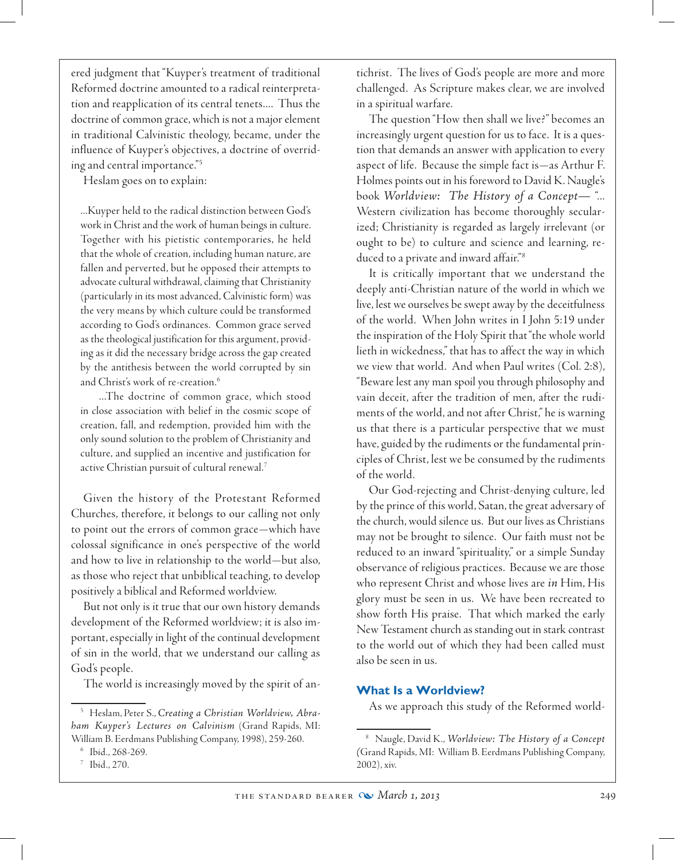ered judgment that "Kuyper's treatment of traditional Reformed doctrine amounted to a radical reinterpretation and reapplication of its central tenets.... Thus the doctrine of common grace, which is not a major element in traditional Calvinistic theology, became, under the influence of Kuyper's objectives, a doctrine of overriding and central importance."5

Heslam goes on to explain:

...Kuyper held to the radical distinction between God's work in Christ and the work of human beings in culture. Together with his pietistic contemporaries, he held that the whole of creation, including human nature, are fallen and perverted, but he opposed their attempts to advocate cultural withdrawal, claiming that Christianity (particularly in its most advanced, Calvinistic form) was the very means by which culture could be transformed according to God's ordinances. Common grace served as the theological justification for this argument, providing as it did the necessary bridge across the gap created by the antithesis between the world corrupted by sin and Christ's work of re-creation.<sup>6</sup>

...The doctrine of common grace, which stood in close association with belief in the cosmic scope of creation, fall, and redemption, provided him with the only sound solution to the problem of Christianity and culture, and supplied an incentive and justification for active Christian pursuit of cultural renewal.7

Given the history of the Protestant Reformed Churches, therefore, it belongs to our calling not only to point out the errors of common grace—which have colossal significance in one's perspective of the world and how to live in relationship to the world—but also, as those who reject that unbiblical teaching, to develop positively a biblical and Reformed worldview.

But not only is it true that our own history demands development of the Reformed worldview; it is also important, especially in light of the continual development of sin in the world, that we understand our calling as God's people.

The world is increasingly moved by the spirit of an-

tichrist. The lives of God's people are more and more challenged. As Scripture makes clear, we are involved in a spiritual warfare.

The question "How then shall we live?" becomes an increasingly urgent question for us to face. It is a question that demands an answer with application to every aspect of life. Because the simple fact is—as Arthur F. Holmes points out in his foreword to David K. Naugle's book *Worldview: The History of a Concept—* "... Western civilization has become thoroughly secularized; Christianity is regarded as largely irrelevant (or ought to be) to culture and science and learning, reduced to a private and inward affair."<sup>8</sup>

It is critically important that we understand the deeply anti-Christian nature of the world in which we live, lest we ourselves be swept away by the deceitfulness of the world. When John writes in I John 5:19 under the inspiration of the Holy Spirit that "the whole world lieth in wickedness," that has to affect the way in which we view that world. And when Paul writes (Col. 2:8), "Beware lest any man spoil you through philosophy and vain deceit, after the tradition of men, after the rudiments of the world, and not after Christ," he is warning us that there is a particular perspective that we must have, guided by the rudiments or the fundamental principles of Christ, lest we be consumed by the rudiments of the world.

 Our God-rejecting and Christ-denying culture, led by the prince of this world, Satan, the great adversary of the church, would silence us. But our lives as Christians may not be brought to silence. Our faith must not be reduced to an inward "spirituality," or a simple Sunday observance of religious practices. Because we are those who represent Christ and whose lives are *in* Him, His glory must be seen in us. We have been recreated to show forth His praise. That which marked the early New Testament church as standing out in stark contrast to the world out of which they had been called must also be seen in us.

### **What Is a Worldview?**

As we approach this study of the Reformed world-

<sup>5</sup> Heslam, Peter S., *Creating a Christian Worldview, Abraham Kuyper's Lectures on Calvinism* (Grand Rapids, MI: William B. Eerdmans Publishing Company, 1998), 259-260.

<sup>6</sup> Ibid., 268-269.

<sup>7</sup> Ibid., 270.

<sup>8</sup> Naugle, David K., *Worldview: The History of a Concept (*Grand Rapids, MI: William B. Eerdmans Publishing Company, 2002), xiv.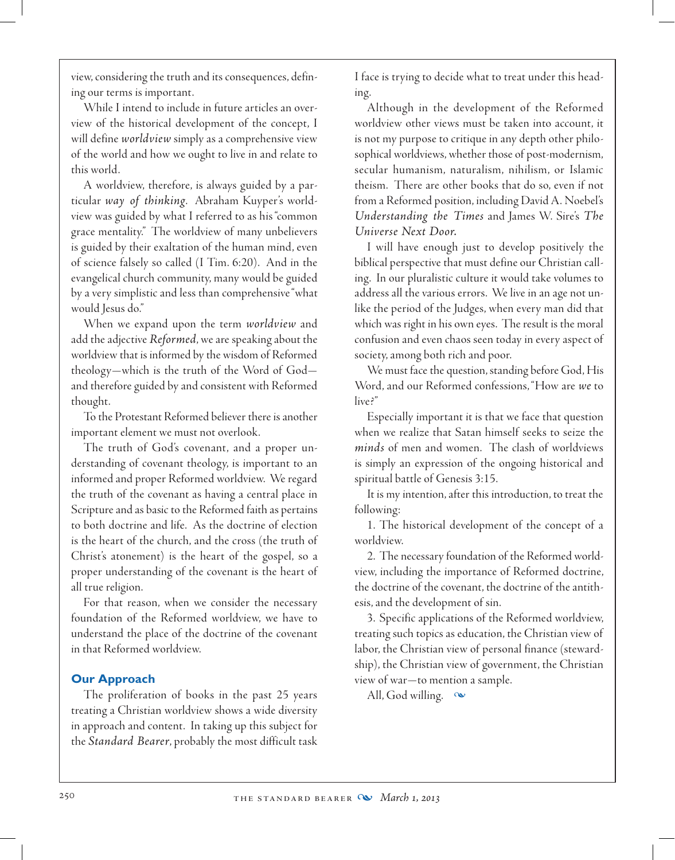view, considering the truth and its consequences, defining our terms is important.

While I intend to include in future articles an overview of the historical development of the concept, I will define *worldview* simply as a comprehensive view of the world and how we ought to live in and relate to this world.

A worldview, therefore, is always guided by a particular *way of thinking*. Abraham Kuyper's worldview was guided by what I referred to as his "common grace mentality." The worldview of many unbelievers is guided by their exaltation of the human mind, even of science falsely so called (I Tim. 6:20). And in the evangelical church community, many would be guided by a very simplistic and less than comprehensive "what would Jesus do."

When we expand upon the term *worldview* and add the adjective *Reformed*, we are speaking about the worldview that is informed by the wisdom of Reformed theology—which is the truth of the Word of God and therefore guided by and consistent with Reformed thought.

To the Protestant Reformed believer there is another important element we must not overlook.

The truth of God's covenant, and a proper understanding of covenant theology, is important to an informed and proper Reformed worldview. We regard the truth of the covenant as having a central place in Scripture and as basic to the Reformed faith as pertains to both doctrine and life. As the doctrine of election is the heart of the church, and the cross (the truth of Christ's atonement) is the heart of the gospel, so a proper understanding of the covenant is the heart of all true religion.

For that reason, when we consider the necessary foundation of the Reformed worldview, we have to understand the place of the doctrine of the covenant in that Reformed worldview.

# **Our Approach**

The proliferation of books in the past 25 years treating a Christian worldview shows a wide diversity in approach and content. In taking up this subject for the *Standard Bearer*, probably the most difficult task

I face is trying to decide what to treat under this heading.

Although in the development of the Reformed worldview other views must be taken into account, it is not my purpose to critique in any depth other philosophical worldviews, whether those of post-modernism, secular humanism, naturalism, nihilism, or Islamic theism. There are other books that do so, even if not from a Reformed position, including David A. Noebel's *Understanding the Times* and James W. Sire's *The Universe Next Door.*

I will have enough just to develop positively the biblical perspective that must define our Christian calling. In our pluralistic culture it would take volumes to address all the various errors. We live in an age not unlike the period of the Judges, when every man did that which was right in his own eyes. The result is the moral confusion and even chaos seen today in every aspect of society, among both rich and poor.

We must face the question, standing before God, His Word, and our Reformed confessions, "How are *we* to live?"

Especially important it is that we face that question when we realize that Satan himself seeks to seize the *minds* of men and women. The clash of worldviews is simply an expression of the ongoing historical and spiritual battle of Genesis 3:15.

It is my intention, after this introduction, to treat the following:

1. The historical development of the concept of a worldview.

2. The necessary foundation of the Reformed worldview, including the importance of Reformed doctrine, the doctrine of the covenant, the doctrine of the antithesis, and the development of sin.

3. Specific applications of the Reformed worldview, treating such topics as education, the Christian view of labor, the Christian view of personal finance (stewardship), the Christian view of government, the Christian view of war—to mention a sample.

All, God willing.  $\infty$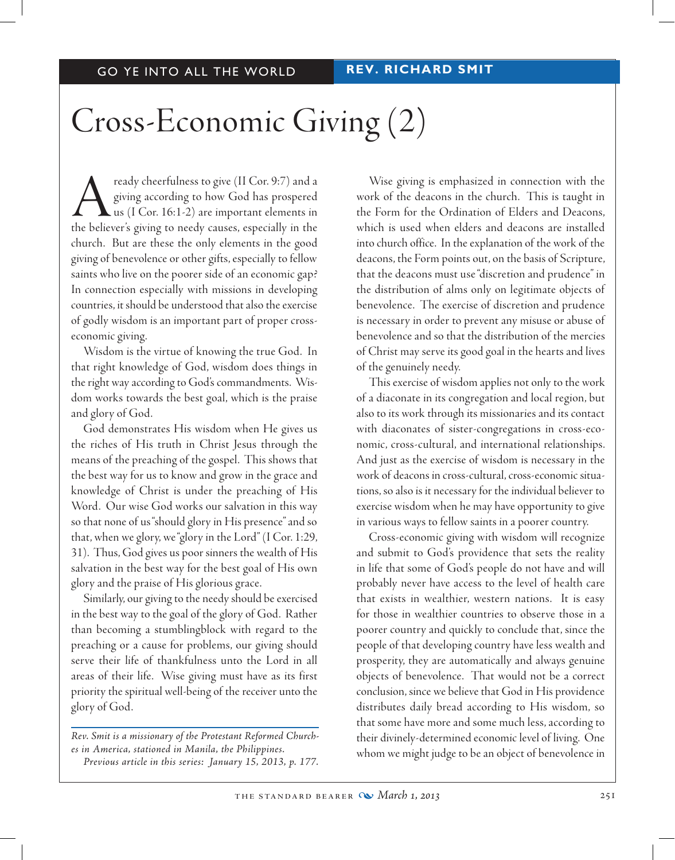# Cross-Economic Giving (2)

ready cheerfulness to give (II Cor. 9:7) and a<br>giving according to how God has prospered<br>us (I Cor. 16:1-2) are important elements in<br>the believer's giving to needy causes, especially in the giving according to how God has prospered us (I Cor. 16:1-2) are important elements in the believer's giving to needy causes, especially in the church. But are these the only elements in the good giving of benevolence or other gifts, especially to fellow saints who live on the poorer side of an economic gap? In connection especially with missions in developing countries, it should be understood that also the exercise of godly wisdom is an important part of proper crosseconomic giving.

Wisdom is the virtue of knowing the true God. In that right knowledge of God, wisdom does things in the right way according to God's commandments. Wisdom works towards the best goal, which is the praise and glory of God.

God demonstrates His wisdom when He gives us the riches of His truth in Christ Jesus through the means of the preaching of the gospel. This shows that the best way for us to know and grow in the grace and knowledge of Christ is under the preaching of His Word. Our wise God works our salvation in this way so that none of us "should glory in His presence" and so that, when we glory, we "glory in the Lord" (I Cor. 1:29, 31). Thus, God gives us poor sinners the wealth of His salvation in the best way for the best goal of His own glory and the praise of His glorious grace.

Similarly, our giving to the needy should be exercised in the best way to the goal of the glory of God. Rather than becoming a stumblingblock with regard to the preaching or a cause for problems, our giving should serve their life of thankfulness unto the Lord in all areas of their life. Wise giving must have as its first priority the spiritual well-being of the receiver unto the glory of God.

*Rev. Smit is a missionary of the Protestant Reformed Churches in America, stationed in Manila, the Philippines. Previous article in this series: January 15, 2013, p. 177.*

Wise giving is emphasized in connection with the work of the deacons in the church. This is taught in the Form for the Ordination of Elders and Deacons, which is used when elders and deacons are installed into church office. In the explanation of the work of the deacons, the Form points out, on the basis of Scripture, that the deacons must use "discretion and prudence" in the distribution of alms only on legitimate objects of benevolence. The exercise of discretion and prudence is necessary in order to prevent any misuse or abuse of benevolence and so that the distribution of the mercies of Christ may serve its good goal in the hearts and lives of the genuinely needy.

This exercise of wisdom applies not only to the work of a diaconate in its congregation and local region, but also to its work through its missionaries and its contact with diaconates of sister-congregations in cross-economic, cross-cultural, and international relationships. And just as the exercise of wisdom is necessary in the work of deacons in cross-cultural, cross-economic situations, so also is it necessary for the individual believer to exercise wisdom when he may have opportunity to give in various ways to fellow saints in a poorer country.

Cross-economic giving with wisdom will recognize and submit to God's providence that sets the reality in life that some of God's people do not have and will probably never have access to the level of health care that exists in wealthier, western nations. It is easy for those in wealthier countries to observe those in a poorer country and quickly to conclude that, since the people of that developing country have less wealth and prosperity, they are automatically and always genuine objects of benevolence. That would not be a correct conclusion, since we believe that God in His providence distributes daily bread according to His wisdom, so that some have more and some much less, according to their divinely-determined economic level of living. One whom we might judge to be an object of benevolence in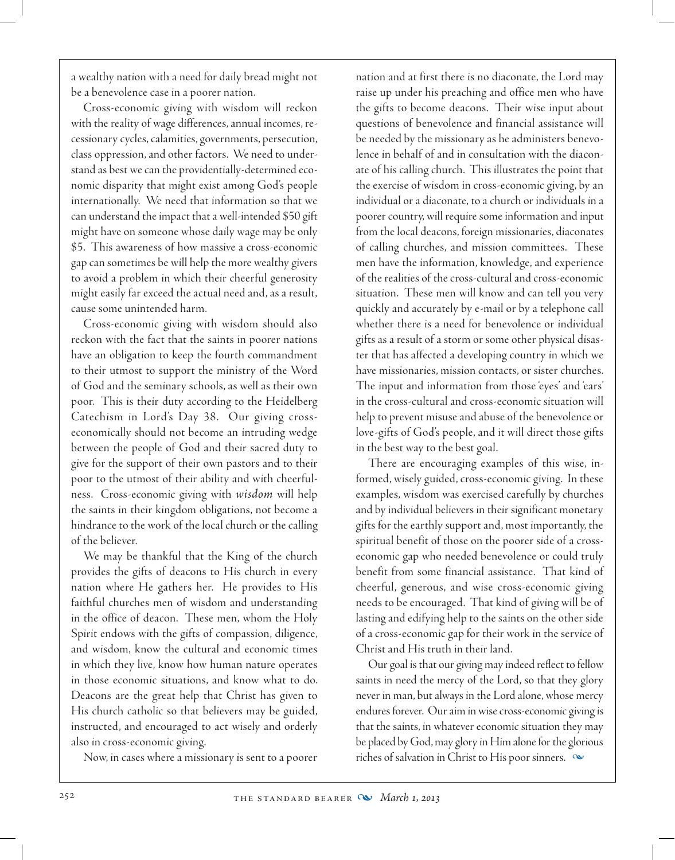a wealthy nation with a need for daily bread might not be a benevolence case in a poorer nation.

Cross-economic giving with wisdom will reckon with the reality of wage differences, annual incomes, recessionary cycles, calamities, governments, persecution, class oppression, and other factors. We need to understand as best we can the providentially-determined economic disparity that might exist among God's people internationally. We need that information so that we can understand the impact that a well-intended \$50 gift might have on someone whose daily wage may be only \$5. This awareness of how massive a cross-economic gap can sometimes be will help the more wealthy givers to avoid a problem in which their cheerful generosity might easily far exceed the actual need and, as a result, cause some unintended harm.

Cross-economic giving with wisdom should also reckon with the fact that the saints in poorer nations have an obligation to keep the fourth commandment to their utmost to support the ministry of the Word of God and the seminary schools, as well as their own poor. This is their duty according to the Heidelberg Catechism in Lord's Day 38. Our giving crosseconomically should not become an intruding wedge between the people of God and their sacred duty to give for the support of their own pastors and to their poor to the utmost of their ability and with cheerfulness. Cross-economic giving with *wisdom* will help the saints in their kingdom obligations, not become a hindrance to the work of the local church or the calling of the believer.

We may be thankful that the King of the church provides the gifts of deacons to His church in every nation where He gathers her. He provides to His faithful churches men of wisdom and understanding in the office of deacon. These men, whom the Holy Spirit endows with the gifts of compassion, diligence, and wisdom, know the cultural and economic times in which they live, know how human nature operates in those economic situations, and know what to do. Deacons are the great help that Christ has given to His church catholic so that believers may be guided, instructed, and encouraged to act wisely and orderly also in cross-economic giving.

Now, in cases where a missionary is sent to a poorer

nation and at first there is no diaconate, the Lord may raise up under his preaching and office men who have the gifts to become deacons. Their wise input about questions of benevolence and financial assistance will be needed by the missionary as he administers benevolence in behalf of and in consultation with the diaconate of his calling church. This illustrates the point that the exercise of wisdom in cross-economic giving, by an individual or a diaconate, to a church or individuals in a poorer country, will require some information and input from the local deacons, foreign missionaries, diaconates of calling churches, and mission committees. These men have the information, knowledge, and experience of the realities of the cross-cultural and cross-economic situation. These men will know and can tell you very quickly and accurately by e-mail or by a telephone call whether there is a need for benevolence or individual gifts as a result of a storm or some other physical disaster that has affected a developing country in which we have missionaries, mission contacts, or sister churches. The input and information from those 'eyes' and 'ears' in the cross-cultural and cross-economic situation will help to prevent misuse and abuse of the benevolence or love-gifts of God's people, and it will direct those gifts in the best way to the best goal.

There are encouraging examples of this wise, informed, wisely guided, cross-economic giving. In these examples, wisdom was exercised carefully by churches and by individual believers in their significant monetary gifts for the earthly support and, most importantly, the spiritual benefit of those on the poorer side of a crosseconomic gap who needed benevolence or could truly benefit from some financial assistance. That kind of cheerful, generous, and wise cross-economic giving needs to be encouraged. That kind of giving will be of lasting and edifying help to the saints on the other side of a cross-economic gap for their work in the service of Christ and His truth in their land.

Our goal is that our giving may indeed reflect to fellow saints in need the mercy of the Lord, so that they glory never in man, but always in the Lord alone, whose mercy endures forever. Our aim in wise cross-economic giving is that the saints, in whatever economic situation they may be placed by God, may glory in Him alone for the glorious riches of salvation in Christ to His poor sinners.  $\infty$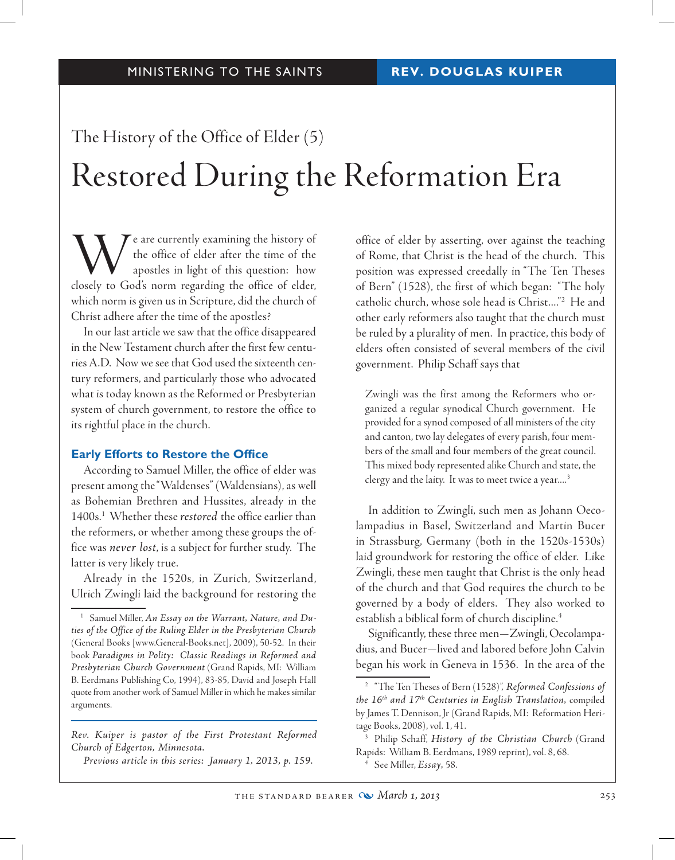# The History of the Office of Elder (5) Restored During the Reformation Era

We are currently examining the history of<br>the office of elder after the time of the<br>apostles in light of this question: how<br>closely to God's norm regarding the office of elder. the office of elder after the time of the apostles in light of this question: how closely to God's norm regarding the office of elder, which norm is given us in Scripture, did the church of Christ adhere after the time of the apostles?

In our last article we saw that the office disappeared in the New Testament church after the first few centuries A.D. Now we see that God used the sixteenth century reformers, and particularly those who advocated what is today known as the Reformed or Presbyterian system of church government, to restore the office to its rightful place in the church.

### **Early Efforts to Restore the Office**

According to Samuel Miller, the office of elder was present among the "Waldenses" (Waldensians), as well as Bohemian Brethren and Hussites, already in the 1400s.1 Whether these *restored* the office earlier than the reformers, or whether among these groups the office was *never lost*, is a subject for further study. The latter is very likely true.

Already in the 1520s, in Zurich, Switzerland, Ulrich Zwingli laid the background for restoring the

*Rev. Kuiper is pastor of the First Protestant Reformed Church of Edgerton, Minnesota.*

*Previous article in this series: January 1, 2013, p. 159.*

office of elder by asserting, over against the teaching of Rome, that Christ is the head of the church. This position was expressed creedally in "The Ten Theses of Bern" (1528), the first of which began: "The holy catholic church, whose sole head is Christ...."2 He and other early reformers also taught that the church must be ruled by a plurality of men. In practice, this body of elders often consisted of several members of the civil government. Philip Schaff says that

Zwingli was the first among the Reformers who organized a regular synodical Church government. He provided for a synod composed of all ministers of the city and canton, two lay delegates of every parish, four members of the small and four members of the great council. This mixed body represented alike Church and state, the clergy and the laity. It was to meet twice a year....<sup>3</sup>

In addition to Zwingli, such men as Johann Oecolampadius in Basel, Switzerland and Martin Bucer in Strassburg, Germany (both in the 1520s-1530s) laid groundwork for restoring the office of elder. Like Zwingli, these men taught that Christ is the only head of the church and that God requires the church to be governed by a body of elders. They also worked to establish a biblical form of church discipline.<sup>4</sup>

Significantly, these three men—Zwingli, Oecolampadius, and Bucer—lived and labored before John Calvin began his work in Geneva in 1536. In the area of the

<sup>1</sup> Samuel Miller, *An Essay on the Warrant, Nature, and Duties of the Office of the Ruling Elder in the Presbyterian Church*  (General Books [www.General-Books.net], 2009), 50-52. In their book *Paradigms in Polity: Classic Readings in Reformed and Presbyterian Church Government* (Grand Rapids, MI: William B. Eerdmans Publishing Co, 1994), 83-85, David and Joseph Hall quote from another work of Samuel Miller in which he makes similar arguments.

<sup>2</sup> "The Ten Theses of Bern (1528)", *Reformed Confessions of the 16th and 17th Centuries in English Translation,* compiled by James T. Dennison, Jr (Grand Rapids, MI: Reformation Heritage Books, 2008), vol. 1, 41.

<sup>3</sup> Philip Schaff, *History of the Christian Church* (Grand Rapids: William B. Eerdmans, 1989 reprint), vol. 8, 68.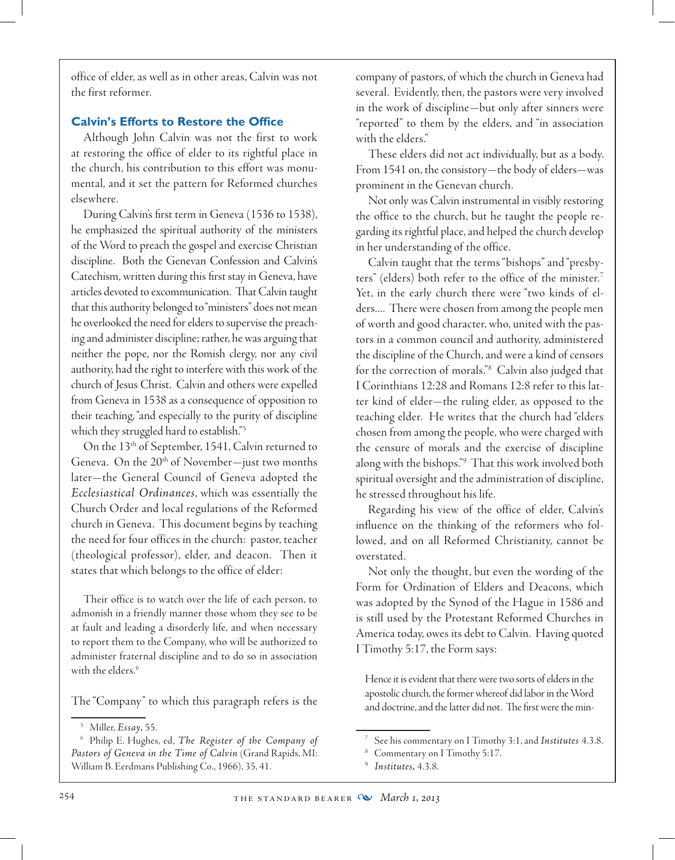office of elder, as well as in other areas, Calvin was not the first reformer.

## **Calvin's Efforts to Restore the Office**

Although John Calvin was not the first to work at restoring the office of elder to its rightful place in the church, his contribution to this effort was monumental, and it set the pattern for Reformed churches elsewhere.

During Calvin's first term in Geneva (1536 to 1538), he emphasized the spiritual authority of the ministers of the Word to preach the gospel and exercise Christian discipline. Both the Genevan Confession and Calvin's Catechism, written during this first stay in Geneva, have articles devoted to excommunication. That Calvin taught that this authority belonged to "ministers" does not mean he overlooked the need for elders to supervise the preaching and administer discipline; rather, he was arguing that neither the pope, nor the Romish clergy, nor any civil authority, had the right to interfere with this work of the church of Jesus Christ. Calvin and others were expelled from Geneva in 1538 as a consequence of opposition to their teaching, "and especially to the purity of discipline which they struggled hard to establish."<sup>5</sup>

On the 13<sup>th</sup> of September, 1541, Calvin returned to Geneva. On the  $20<sup>th</sup>$  of November—just two months later—the General Council of Geneva adopted the *Ecclesiastical Ordinances*, which was essentially the Church Order and local regulations of the Reformed church in Geneva. This document begins by teaching the need for four offices in the church: pastor, teacher (theological professor), elder, and deacon. Then it states that which belongs to the office of elder:

Their office is to watch over the life of each person, to admonish in a friendly manner those whom they see to be at fault and leading a disorderly life, and when necessary to report them to the Company, who will be authorized to administer fraternal discipline and to do so in association with the elders.<sup>6</sup>

The "Company" to which this paragraph refers is the

company of pastors, of which the church in Geneva had several. Evidently, then, the pastors were very involved in the work of discipline—but only after sinners were "reported" to them by the elders, and "in association with the elders."

These elders did not act individually, but as a body. From 1541 on, the consistory—the body of elders—was prominent in the Genevan church.

Not only was Calvin instrumental in visibly restoring the office to the church, but he taught the people regarding its rightful place, and helped the church develop in her understanding of the office.

Calvin taught that the terms "bishops" and "presbyters" (elders) both refer to the office of the minister.<sup>7</sup> Yet, in the early church there were "two kinds of elders.... There were chosen from among the people men of worth and good character, who, united with the pastors in a common council and authority, administered the discipline of the Church, and were a kind of censors for the correction of morals."<sup>8</sup> Calvin also judged that I Corinthians 12:28 and Romans 12:8 refer to this latter kind of elder—the ruling elder, as opposed to the teaching elder. He writes that the church had "elders chosen from among the people, who were charged with the censure of morals and the exercise of discipline along with the bishops."<sup>9</sup> That this work involved both spiritual oversight and the administration of discipline, he stressed throughout his life.

Regarding his view of the office of elder, Calvin's influence on the thinking of the reformers who followed, and on all Reformed Christianity, cannot be overstated.

 Not only the thought, but even the wording of the Form for Ordination of Elders and Deacons, which was adopted by the Synod of the Hague in 1586 and is still used by the Protestant Reformed Churches in America today, owes its debt to Calvin. Having quoted I Timothy 5:17, the Form says:

Hence it is evident that there were two sorts of elders in the apostolic church, the former whereof did labor in the Word and doctrine, and the latter did not. The first were the min-

<sup>5</sup> Miller, *Essay,* 55.

<sup>6</sup> Philip E. Hughes, ed, *The Register of the Company of Pastors of Geneva in the Time of Calvin* (Grand Rapids, MI: William B. Eerdmans Publishing Co., 1966), 35, 41.

<sup>7</sup> See his commentary on I Timothy 3:1, and *Institutes* 4.3.8.

<sup>8</sup> Commentary on I Timothy 5:17.

<sup>9</sup> *Institutes,* 4.3.8.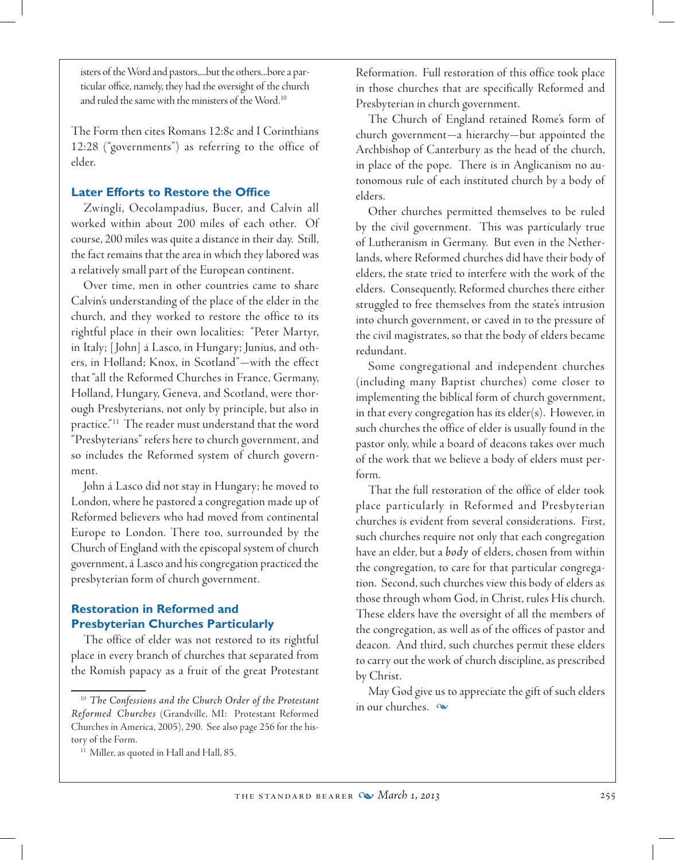isters of the Word and pastors,...but the others...bore a particular office, namely, they had the oversight of the church and ruled the same with the ministers of the Word.<sup>10</sup>

The Form then cites Romans 12:8c and I Corinthians 12:28 ("governments") as referring to the office of elder.

### **Later Efforts to Restore the Office**

Zwingli, Oecolampadius, Bucer, and Calvin all worked within about 200 miles of each other. Of course, 200 miles was quite a distance in their day. Still, the fact remains that the area in which they labored was a relatively small part of the European continent.

 Over time, men in other countries came to share Calvin's understanding of the place of the elder in the church, and they worked to restore the office to its rightful place in their own localities: "Peter Martyr, in Italy; [ John] á Lasco, in Hungary; Junius, and others, in Holland; Knox, in Scotland"—with the effect that "all the Reformed Churches in France, Germany, Holland, Hungary, Geneva, and Scotland, were thorough Presbyterians, not only by principle, but also in practice."11 The reader must understand that the word "Presbyterians" refers here to church government, and so includes the Reformed system of church government.

John á Lasco did not stay in Hungary; he moved to London, where he pastored a congregation made up of Reformed believers who had moved from continental Europe to London. There too, surrounded by the Church of England with the episcopal system of church government, á Lasco and his congregation practiced the presbyterian form of church government.

# **Restoration in Reformed and Presbyterian Churches Particularly**

The office of elder was not restored to its rightful place in every branch of churches that separated from the Romish papacy as a fruit of the great Protestant Reformation. Full restoration of this office took place in those churches that are specifically Reformed and Presbyterian in church government.

The Church of England retained Rome's form of church government—a hierarchy—but appointed the Archbishop of Canterbury as the head of the church, in place of the pope. There is in Anglicanism no autonomous rule of each instituted church by a body of elders.

Other churches permitted themselves to be ruled by the civil government. This was particularly true of Lutheranism in Germany. But even in the Netherlands, where Reformed churches did have their body of elders, the state tried to interfere with the work of the elders. Consequently, Reformed churches there either struggled to free themselves from the state's intrusion into church government, or caved in to the pressure of the civil magistrates, so that the body of elders became redundant.

Some congregational and independent churches (including many Baptist churches) come closer to implementing the biblical form of church government, in that every congregation has its elder(s). However, in such churches the office of elder is usually found in the pastor only, while a board of deacons takes over much of the work that we believe a body of elders must perform.

That the full restoration of the office of elder took place particularly in Reformed and Presbyterian churches is evident from several considerations. First, such churches require not only that each congregation have an elder, but a *body* of elders, chosen from within the congregation, to care for that particular congregation. Second, such churches view this body of elders as those through whom God, in Christ, rules His church. These elders have the oversight of all the members of the congregation, as well as of the offices of pastor and deacon. And third, such churches permit these elders to carry out the work of church discipline, as prescribed by Christ.

May God give us to appreciate the gift of such elders in our churches.  $\infty$ 

<sup>10</sup> *The Confessions and the Church Order of the Protestant Reformed Churches* (Grandville, MI: Protestant Reformed Churches in America, 2005), 290. See also page 256 for the history of the Form.

<sup>&</sup>lt;sup>11</sup> Miller, as quoted in Hall and Hall, 85.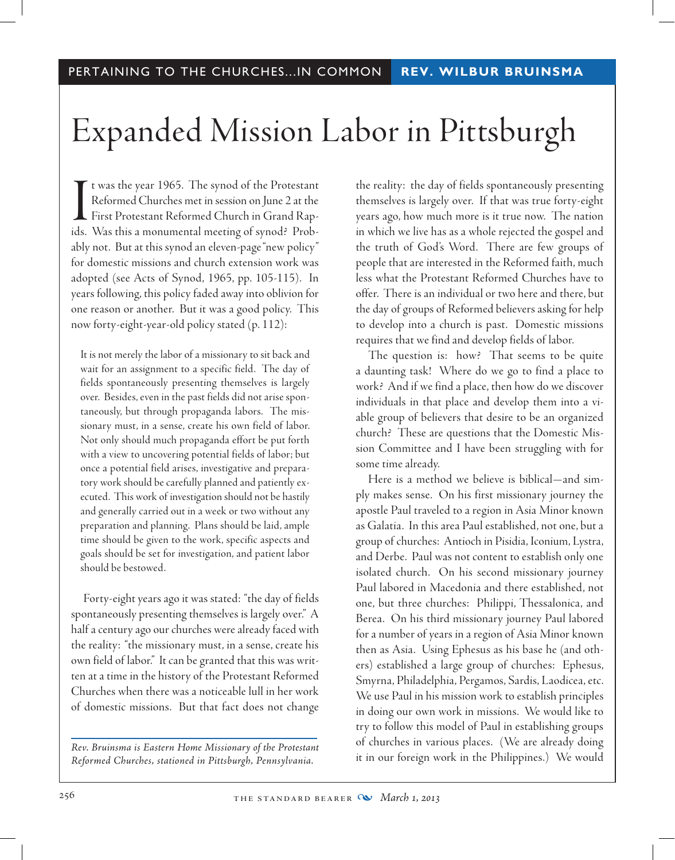# Expanded Mission Labor in Pittsburgh

It was the year 1965. The synod of the Protestant<br>Reformed Churches met in session on June 2 at the<br>First Protestant Reformed Church in Grand Rap-<br>ids. Was this a monumental meeting of synod? Probt was the year 1965. The synod of the Protestant Reformed Churches met in session on June 2 at the First Protestant Reformed Church in Grand Rapably not. But at this synod an eleven-page "new policy" for domestic missions and church extension work was adopted (see Acts of Synod, 1965, pp. 105-115). In years following, this policy faded away into oblivion for one reason or another. But it was a good policy. This now forty-eight-year-old policy stated (p. 112):

It is not merely the labor of a missionary to sit back and wait for an assignment to a specific field. The day of fields spontaneously presenting themselves is largely over. Besides, even in the past fields did not arise spontaneously, but through propaganda labors. The missionary must, in a sense, create his own field of labor. Not only should much propaganda effort be put forth with a view to uncovering potential fields of labor; but once a potential field arises, investigative and preparatory work should be carefully planned and patiently executed. This work of investigation should not be hastily and generally carried out in a week or two without any preparation and planning. Plans should be laid, ample time should be given to the work, specific aspects and goals should be set for investigation, and patient labor should be bestowed.

Forty-eight years ago it was stated: "the day of fields spontaneously presenting themselves is largely over." A half a century ago our churches were already faced with the reality: "the missionary must, in a sense, create his own field of labor." It can be granted that this was written at a time in the history of the Protestant Reformed Churches when there was a noticeable lull in her work of domestic missions. But that fact does not change

*Rev. Bruinsma is Eastern Home Missionary of the Protestant Reformed Churches, stationed in Pittsburgh, Pennsylvania.*

the reality: the day of fields spontaneously presenting themselves is largely over. If that was true forty-eight years ago, how much more is it true now. The nation in which we live has as a whole rejected the gospel and the truth of God's Word. There are few groups of people that are interested in the Reformed faith, much less what the Protestant Reformed Churches have to offer. There is an individual or two here and there, but the day of groups of Reformed believers asking for help to develop into a church is past. Domestic missions requires that we find and develop fields of labor.

The question is: how? That seems to be quite a daunting task! Where do we go to find a place to work? And if we find a place, then how do we discover individuals in that place and develop them into a viable group of believers that desire to be an organized church? These are questions that the Domestic Mission Committee and I have been struggling with for some time already.

Here is a method we believe is biblical—and simply makes sense. On his first missionary journey the apostle Paul traveled to a region in Asia Minor known as Galatia. In this area Paul established, not one, but a group of churches: Antioch in Pisidia, Iconium, Lystra, and Derbe. Paul was not content to establish only one isolated church. On his second missionary journey Paul labored in Macedonia and there established, not one, but three churches: Philippi, Thessalonica, and Berea. On his third missionary journey Paul labored for a number of years in a region of Asia Minor known then as Asia. Using Ephesus as his base he (and others) established a large group of churches: Ephesus, Smyrna, Philadelphia, Pergamos, Sardis, Laodicea, etc. We use Paul in his mission work to establish principles in doing our own work in missions. We would like to try to follow this model of Paul in establishing groups of churches in various places. (We are already doing it in our foreign work in the Philippines.) We would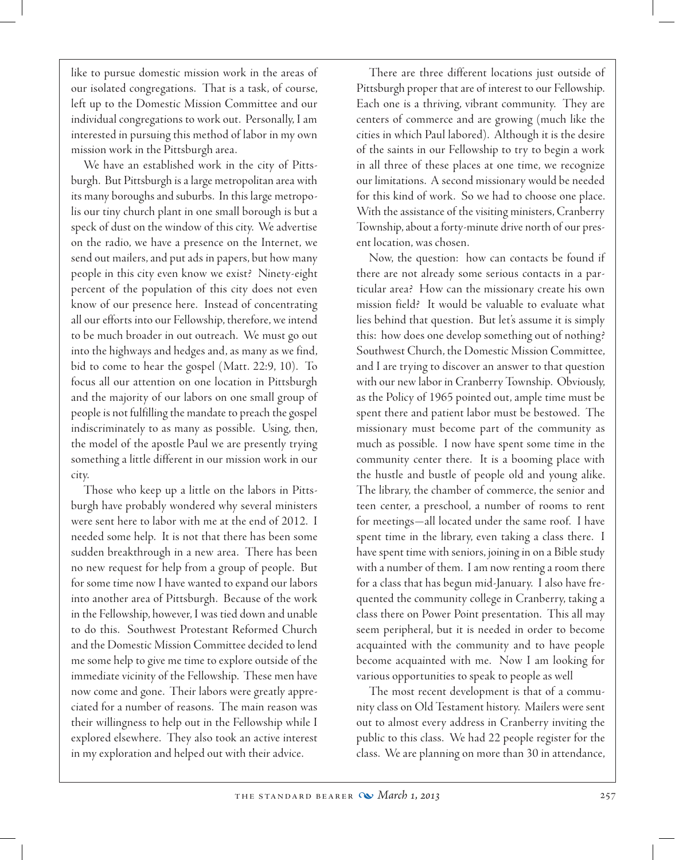like to pursue domestic mission work in the areas of our isolated congregations. That is a task, of course, left up to the Domestic Mission Committee and our individual congregations to work out. Personally, I am interested in pursuing this method of labor in my own mission work in the Pittsburgh area.

We have an established work in the city of Pittsburgh. But Pittsburgh is a large metropolitan area with its many boroughs and suburbs. In this large metropolis our tiny church plant in one small borough is but a speck of dust on the window of this city. We advertise on the radio, we have a presence on the Internet, we send out mailers, and put ads in papers, but how many people in this city even know we exist? Ninety-eight percent of the population of this city does not even know of our presence here. Instead of concentrating all our efforts into our Fellowship, therefore, we intend to be much broader in out outreach. We must go out into the highways and hedges and, as many as we find, bid to come to hear the gospel (Matt. 22:9, 10). To focus all our attention on one location in Pittsburgh and the majority of our labors on one small group of people is not fulfilling the mandate to preach the gospel indiscriminately to as many as possible. Using, then, the model of the apostle Paul we are presently trying something a little different in our mission work in our city.

Those who keep up a little on the labors in Pittsburgh have probably wondered why several ministers were sent here to labor with me at the end of 2012. I needed some help. It is not that there has been some sudden breakthrough in a new area. There has been no new request for help from a group of people. But for some time now I have wanted to expand our labors into another area of Pittsburgh. Because of the work in the Fellowship, however, I was tied down and unable to do this. Southwest Protestant Reformed Church and the Domestic Mission Committee decided to lend me some help to give me time to explore outside of the immediate vicinity of the Fellowship. These men have now come and gone. Their labors were greatly appreciated for a number of reasons. The main reason was their willingness to help out in the Fellowship while I explored elsewhere. They also took an active interest in my exploration and helped out with their advice.

There are three different locations just outside of Pittsburgh proper that are of interest to our Fellowship. Each one is a thriving, vibrant community. They are centers of commerce and are growing (much like the cities in which Paul labored). Although it is the desire of the saints in our Fellowship to try to begin a work in all three of these places at one time, we recognize our limitations. A second missionary would be needed for this kind of work. So we had to choose one place. With the assistance of the visiting ministers, Cranberry Township, about a forty-minute drive north of our present location, was chosen.

 Now, the question: how can contacts be found if there are not already some serious contacts in a particular area? How can the missionary create his own mission field? It would be valuable to evaluate what lies behind that question. But let's assume it is simply this: how does one develop something out of nothing? Southwest Church, the Domestic Mission Committee, and I are trying to discover an answer to that question with our new labor in Cranberry Township. Obviously, as the Policy of 1965 pointed out, ample time must be spent there and patient labor must be bestowed. The missionary must become part of the community as much as possible. I now have spent some time in the community center there. It is a booming place with the hustle and bustle of people old and young alike. The library, the chamber of commerce, the senior and teen center, a preschool, a number of rooms to rent for meetings—all located under the same roof. I have spent time in the library, even taking a class there. I have spent time with seniors, joining in on a Bible study with a number of them. I am now renting a room there for a class that has begun mid-January. I also have frequented the community college in Cranberry, taking a class there on Power Point presentation. This all may seem peripheral, but it is needed in order to become acquainted with the community and to have people become acquainted with me. Now I am looking for various opportunities to speak to people as well

The most recent development is that of a community class on Old Testament history. Mailers were sent out to almost every address in Cranberry inviting the public to this class. We had 22 people register for the class. We are planning on more than 30 in attendance,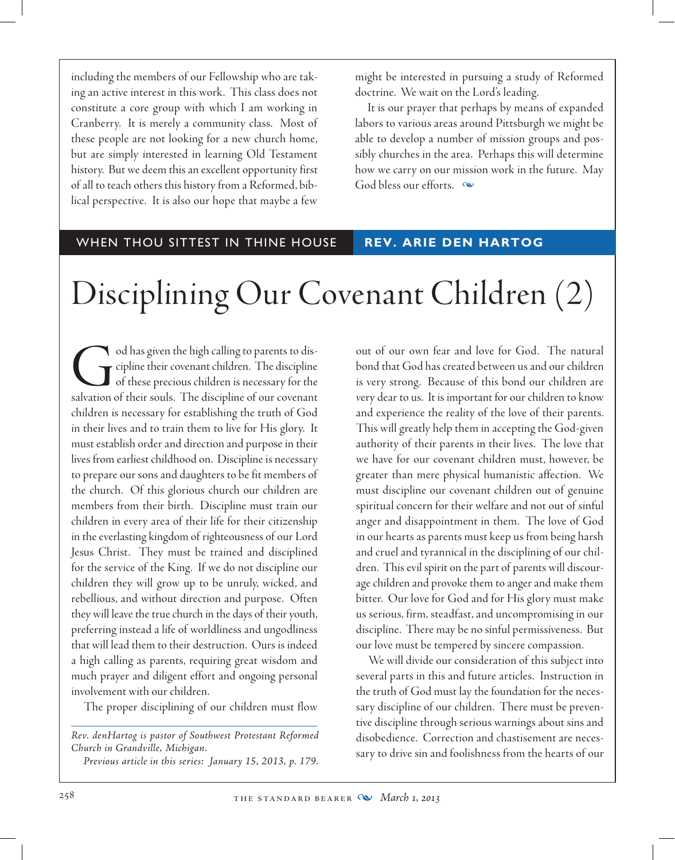including the members of our Fellowship who are taking an active interest in this work. This class does not constitute a core group with which I am working in Cranberry. It is merely a community class. Most of these people are not looking for a new church home, but are simply interested in learning Old Testament history. But we deem this an excellent opportunity first of all to teach others this history from a Reformed, biblical perspective. It is also our hope that maybe a few might be interested in pursuing a study of Reformed doctrine. We wait on the Lord's leading.

It is our prayer that perhaps by means of expanded labors to various areas around Pittsburgh we might be able to develop a number of mission groups and possibly churches in the area. Perhaps this will determine how we carry on our mission work in the future. May God bless our efforts.  $\infty$ 

### WHEN THOU SITTEST IN THINE HOUSE **REV. ARIE DEN HARTOG**

# Disciplining Our Covenant Children (2)

od has given the high calling to parents to discription of their covenant children. The discipline of these precious children is necessary for the salvation of their souls. The discipline of our covenant cipline their covenant children. The discipline of these precious children is necessary for the salvation of their souls. The discipline of our covenant children is necessary for establishing the truth of God in their lives and to train them to live for His glory. It must establish order and direction and purpose in their lives from earliest childhood on. Discipline is necessary to prepare our sons and daughters to be fit members of the church. Of this glorious church our children are members from their birth. Discipline must train our children in every area of their life for their citizenship in the everlasting kingdom of righteousness of our Lord Jesus Christ. They must be trained and disciplined for the service of the King. If we do not discipline our children they will grow up to be unruly, wicked, and rebellious, and without direction and purpose. Often they will leave the true church in the days of their youth, preferring instead a life of worldliness and ungodliness that will lead them to their destruction. Ours is indeed a high calling as parents, requiring great wisdom and much prayer and diligent effort and ongoing personal involvement with our children.

The proper disciplining of our children must flow

*Rev. denHartog is pastor of Southwest Protestant Reformed Church in Grandville, Michigan.*

*Previous article in this series: January 15, 2013, p. 179.*

out of our own fear and love for God. The natural bond that God has created between us and our children is very strong. Because of this bond our children are very dear to us. It is important for our children to know and experience the reality of the love of their parents. This will greatly help them in accepting the God-given authority of their parents in their lives. The love that we have for our covenant children must, however, be greater than mere physical humanistic affection. We must discipline our covenant children out of genuine spiritual concern for their welfare and not out of sinful anger and disappointment in them. The love of God in our hearts as parents must keep us from being harsh and cruel and tyrannical in the disciplining of our children. This evil spirit on the part of parents will discourage children and provoke them to anger and make them bitter. Our love for God and for His glory must make us serious, firm, steadfast, and uncompromising in our discipline. There may be no sinful permissiveness. But our love must be tempered by sincere compassion.

We will divide our consideration of this subject into several parts in this and future articles. Instruction in the truth of God must lay the foundation for the necessary discipline of our children. There must be preventive discipline through serious warnings about sins and disobedience. Correction and chastisement are necessary to drive sin and foolishness from the hearts of our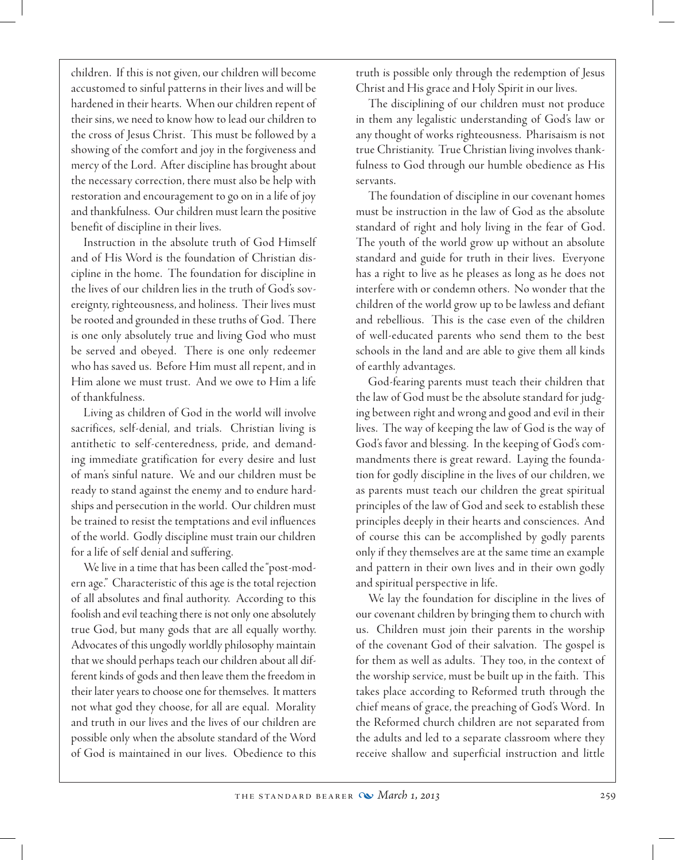children. If this is not given, our children will become accustomed to sinful patterns in their lives and will be hardened in their hearts. When our children repent of their sins, we need to know how to lead our children to the cross of Jesus Christ. This must be followed by a showing of the comfort and joy in the forgiveness and mercy of the Lord. After discipline has brought about the necessary correction, there must also be help with restoration and encouragement to go on in a life of joy and thankfulness. Our children must learn the positive benefit of discipline in their lives.

Instruction in the absolute truth of God Himself and of His Word is the foundation of Christian discipline in the home. The foundation for discipline in the lives of our children lies in the truth of God's sovereignty, righteousness, and holiness. Their lives must be rooted and grounded in these truths of God. There is one only absolutely true and living God who must be served and obeyed. There is one only redeemer who has saved us. Before Him must all repent, and in Him alone we must trust. And we owe to Him a life of thankfulness.

Living as children of God in the world will involve sacrifices, self-denial, and trials. Christian living is antithetic to self-centeredness, pride, and demanding immediate gratification for every desire and lust of man's sinful nature. We and our children must be ready to stand against the enemy and to endure hardships and persecution in the world. Our children must be trained to resist the temptations and evil influences of the world. Godly discipline must train our children for a life of self denial and suffering.

We live in a time that has been called the "post-modern age." Characteristic of this age is the total rejection of all absolutes and final authority. According to this foolish and evil teaching there is not only one absolutely true God, but many gods that are all equally worthy. Advocates of this ungodly worldly philosophy maintain that we should perhaps teach our children about all different kinds of gods and then leave them the freedom in their later years to choose one for themselves. It matters not what god they choose, for all are equal. Morality and truth in our lives and the lives of our children are possible only when the absolute standard of the Word of God is maintained in our lives. Obedience to this

truth is possible only through the redemption of Jesus Christ and His grace and Holy Spirit in our lives.

The disciplining of our children must not produce in them any legalistic understanding of God's law or any thought of works righteousness. Pharisaism is not true Christianity. True Christian living involves thankfulness to God through our humble obedience as His servants.

The foundation of discipline in our covenant homes must be instruction in the law of God as the absolute standard of right and holy living in the fear of God. The youth of the world grow up without an absolute standard and guide for truth in their lives. Everyone has a right to live as he pleases as long as he does not interfere with or condemn others. No wonder that the children of the world grow up to be lawless and defiant and rebellious. This is the case even of the children of well-educated parents who send them to the best schools in the land and are able to give them all kinds of earthly advantages.

God-fearing parents must teach their children that the law of God must be the absolute standard for judging between right and wrong and good and evil in their lives. The way of keeping the law of God is the way of God's favor and blessing. In the keeping of God's commandments there is great reward. Laying the foundation for godly discipline in the lives of our children, we as parents must teach our children the great spiritual principles of the law of God and seek to establish these principles deeply in their hearts and consciences. And of course this can be accomplished by godly parents only if they themselves are at the same time an example and pattern in their own lives and in their own godly and spiritual perspective in life.

We lay the foundation for discipline in the lives of our covenant children by bringing them to church with us. Children must join their parents in the worship of the covenant God of their salvation. The gospel is for them as well as adults. They too, in the context of the worship service, must be built up in the faith. This takes place according to Reformed truth through the chief means of grace, the preaching of God's Word. In the Reformed church children are not separated from the adults and led to a separate classroom where they receive shallow and superficial instruction and little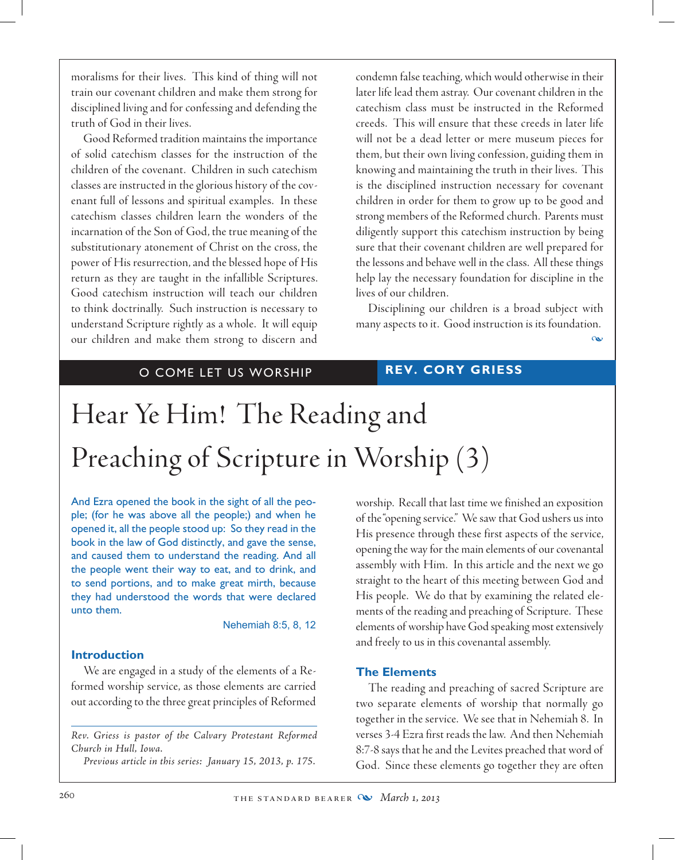moralisms for their lives. This kind of thing will not train our covenant children and make them strong for disciplined living and for confessing and defending the truth of God in their lives.

Good Reformed tradition maintains the importance of solid catechism classes for the instruction of the children of the covenant. Children in such catechism classes are instructed in the glorious history of the covenant full of lessons and spiritual examples. In these catechism classes children learn the wonders of the incarnation of the Son of God, the true meaning of the substitutionary atonement of Christ on the cross, the power of His resurrection, and the blessed hope of His return as they are taught in the infallible Scriptures. Good catechism instruction will teach our children to think doctrinally. Such instruction is necessary to understand Scripture rightly as a whole. It will equip our children and make them strong to discern and

condemn false teaching, which would otherwise in their later life lead them astray. Our covenant children in the catechism class must be instructed in the Reformed creeds. This will ensure that these creeds in later life will not be a dead letter or mere museum pieces for them, but their own living confession, guiding them in knowing and maintaining the truth in their lives. This is the disciplined instruction necessary for covenant children in order for them to grow up to be good and strong members of the Reformed church. Parents must diligently support this catechism instruction by being sure that their covenant children are well prepared for the lessons and behave well in the class. All these things help lay the necessary foundation for discipline in the lives of our children.

Disciplining our children is a broad subject with many aspects to it. Good instruction is its foundation.

 $\alpha$ 

# O COME LET US WORSHIP **REV. CORY GRIESS**

# Hear Ye Him! The Reading and Preaching of Scripture in Worship (3)

And Ezra opened the book in the sight of all the people; (for he was above all the people;) and when he opened it, all the people stood up: So they read in the book in the law of God distinctly, and gave the sense, and caused them to understand the reading. And all the people went their way to eat, and to drink, and to send portions, and to make great mirth, because they had understood the words that were declared unto them.

### Nehemiah 8:5, 8, 12

### **Introduction**

We are engaged in a study of the elements of a Reformed worship service, as those elements are carried out according to the three great principles of Reformed

*Rev. Griess is pastor of the Calvary Protestant Reformed Church in Hull, Iowa.*

*Previous article in this series: January 15, 2013, p. 175.*

worship. Recall that last time we finished an exposition of the "opening service." We saw that God ushers us into His presence through these first aspects of the service, opening the way for the main elements of our covenantal assembly with Him. In this article and the next we go straight to the heart of this meeting between God and His people. We do that by examining the related elements of the reading and preaching of Scripture. These elements of worship have God speaking most extensively and freely to us in this covenantal assembly.

### **The Elements**

The reading and preaching of sacred Scripture are two separate elements of worship that normally go together in the service. We see that in Nehemiah 8. In verses 3-4 Ezra first reads the law. And then Nehemiah 8:7-8 says that he and the Levites preached that word of God. Since these elements go together they are often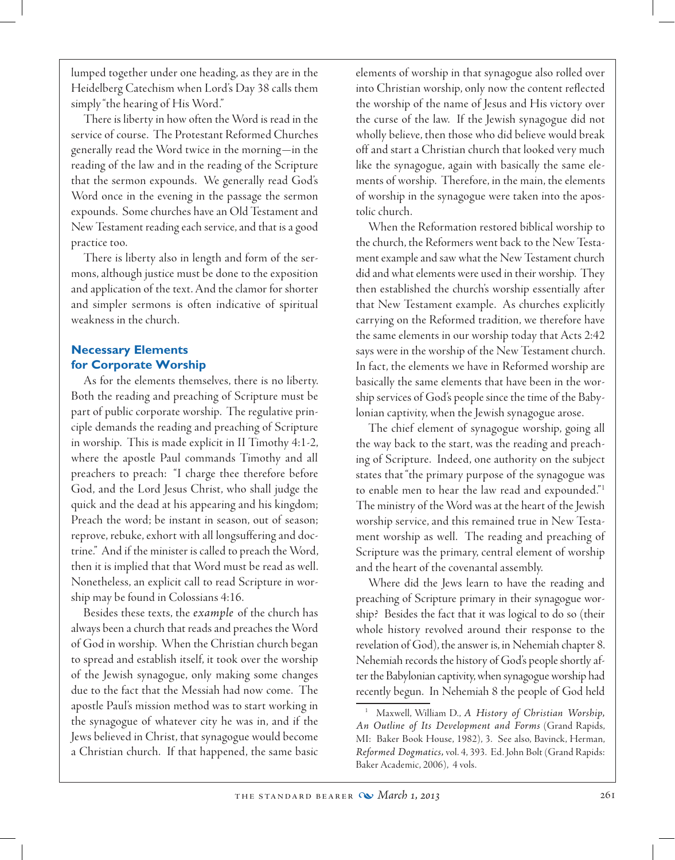lumped together under one heading, as they are in the Heidelberg Catechism when Lord's Day 38 calls them simply "the hearing of His Word."

There is liberty in how often the Word is read in the service of course. The Protestant Reformed Churches generally read the Word twice in the morning—in the reading of the law and in the reading of the Scripture that the sermon expounds. We generally read God's Word once in the evening in the passage the sermon expounds. Some churches have an Old Testament and New Testament reading each service, and that is a good practice too.

There is liberty also in length and form of the sermons, although justice must be done to the exposition and application of the text. And the clamor for shorter and simpler sermons is often indicative of spiritual weakness in the church.

# **Necessary Elements for Corporate Worship**

As for the elements themselves, there is no liberty. Both the reading and preaching of Scripture must be part of public corporate worship. The regulative principle demands the reading and preaching of Scripture in worship. This is made explicit in II Timothy 4:1-2, where the apostle Paul commands Timothy and all preachers to preach: "I charge thee therefore before God, and the Lord Jesus Christ, who shall judge the quick and the dead at his appearing and his kingdom; Preach the word; be instant in season, out of season; reprove, rebuke, exhort with all longsuffering and doctrine." And if the minister is called to preach the Word, then it is implied that that Word must be read as well. Nonetheless, an explicit call to read Scripture in worship may be found in Colossians 4:16.

Besides these texts, the *example* of the church has always been a church that reads and preaches the Word of God in worship. When the Christian church began to spread and establish itself, it took over the worship of the Jewish synagogue, only making some changes due to the fact that the Messiah had now come. The apostle Paul's mission method was to start working in the synagogue of whatever city he was in, and if the Jews believed in Christ, that synagogue would become a Christian church. If that happened, the same basic elements of worship in that synagogue also rolled over into Christian worship, only now the content reflected the worship of the name of Jesus and His victory over the curse of the law. If the Jewish synagogue did not wholly believe, then those who did believe would break off and start a Christian church that looked very much like the synagogue, again with basically the same elements of worship. Therefore, in the main, the elements of worship in the synagogue were taken into the apostolic church.

When the Reformation restored biblical worship to the church, the Reformers went back to the New Testament example and saw what the New Testament church did and what elements were used in their worship. They then established the church's worship essentially after that New Testament example. As churches explicitly carrying on the Reformed tradition, we therefore have the same elements in our worship today that Acts 2:42 says were in the worship of the New Testament church. In fact, the elements we have in Reformed worship are basically the same elements that have been in the worship services of God's people since the time of the Babylonian captivity, when the Jewish synagogue arose.

The chief element of synagogue worship, going all the way back to the start, was the reading and preaching of Scripture. Indeed, one authority on the subject states that "the primary purpose of the synagogue was to enable men to hear the law read and expounded."1 The ministry of the Word was at the heart of the Jewish worship service, and this remained true in New Testament worship as well. The reading and preaching of Scripture was the primary, central element of worship and the heart of the covenantal assembly.

Where did the Jews learn to have the reading and preaching of Scripture primary in their synagogue worship? Besides the fact that it was logical to do so (their whole history revolved around their response to the revelation of God), the answer is, in Nehemiah chapter 8. Nehemiah records the history of God's people shortly after the Babylonian captivity, when synagogue worship had recently begun. In Nehemiah 8 the people of God held

<sup>1</sup> Maxwell, William D., *A History of Christian Worship, An Outline of Its Development and Forms* (Grand Rapids, MI: Baker Book House, 1982), 3. See also, Bavinck, Herman, *Reformed Dogmatics,* vol. 4, 393. Ed. John Bolt (Grand Rapids: Baker Academic, 2006), 4 vols.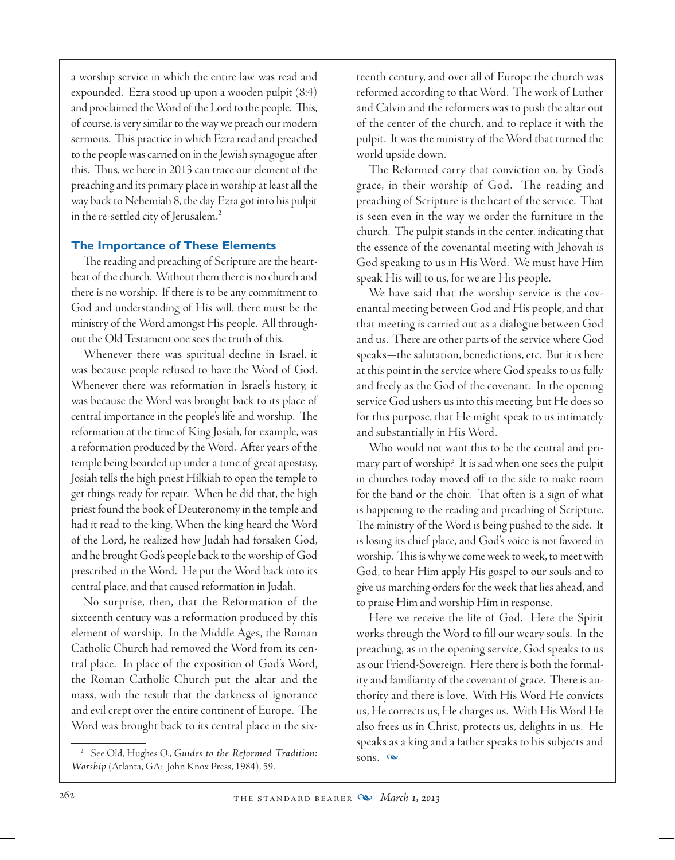a worship service in which the entire law was read and expounded. Ezra stood up upon a wooden pulpit (8:4) and proclaimed the Word of the Lord to the people. This, of course, is very similar to the way we preach our modern sermons. This practice in which Ezra read and preached to the people was carried on in the Jewish synagogue after this. Thus, we here in 2013 can trace our element of the preaching and its primary place in worship at least all the way back to Nehemiah 8, the day Ezra got into his pulpit in the re-settled city of Jerusalem.<sup>2</sup>

## **The Importance of These Elements**

The reading and preaching of Scripture are the heartbeat of the church. Without them there is no church and there is no worship. If there is to be any commitment to God and understanding of His will, there must be the ministry of the Word amongst His people. All throughout the Old Testament one sees the truth of this.

Whenever there was spiritual decline in Israel, it was because people refused to have the Word of God. Whenever there was reformation in Israel's history, it was because the Word was brought back to its place of central importance in the people's life and worship. The reformation at the time of King Josiah, for example, was a reformation produced by the Word. After years of the temple being boarded up under a time of great apostasy, Josiah tells the high priest Hilkiah to open the temple to get things ready for repair. When he did that, the high priest found the book of Deuteronomy in the temple and had it read to the king. When the king heard the Word of the Lord, he realized how Judah had forsaken God, and he brought God's people back to the worship of God prescribed in the Word. He put the Word back into its central place, and that caused reformation in Judah.

 No surprise, then, that the Reformation of the sixteenth century was a reformation produced by this element of worship. In the Middle Ages, the Roman Catholic Church had removed the Word from its central place. In place of the exposition of God's Word, the Roman Catholic Church put the altar and the mass, with the result that the darkness of ignorance and evil crept over the entire continent of Europe. The Word was brought back to its central place in the sixteenth century, and over all of Europe the church was reformed according to that Word. The work of Luther and Calvin and the reformers was to push the altar out of the center of the church, and to replace it with the pulpit. It was the ministry of the Word that turned the world upside down.

The Reformed carry that conviction on, by God's grace, in their worship of God. The reading and preaching of Scripture is the heart of the service. That is seen even in the way we order the furniture in the church. The pulpit stands in the center, indicating that the essence of the covenantal meeting with Jehovah is God speaking to us in His Word. We must have Him speak His will to us, for we are His people.

We have said that the worship service is the covenantal meeting between God and His people, and that that meeting is carried out as a dialogue between God and us. There are other parts of the service where God speaks—the salutation, benedictions, etc. But it is here at this point in the service where God speaks to us fully and freely as the God of the covenant. In the opening service God ushers us into this meeting, but He does so for this purpose, that He might speak to us intimately and substantially in His Word.

Who would not want this to be the central and primary part of worship? It is sad when one sees the pulpit in churches today moved off to the side to make room for the band or the choir. That often is a sign of what is happening to the reading and preaching of Scripture. The ministry of the Word is being pushed to the side. It is losing its chief place, and God's voice is not favored in worship. This is why we come week to week, to meet with God, to hear Him apply His gospel to our souls and to give us marching orders for the week that lies ahead, and to praise Him and worship Him in response.

Here we receive the life of God. Here the Spirit works through the Word to fill our weary souls. In the preaching, as in the opening service, God speaks to us as our Friend-Sovereign. Here there is both the formality and familiarity of the covenant of grace. There is authority and there is love. With His Word He convicts us, He corrects us, He charges us. With His Word He also frees us in Christ, protects us, delights in us. He speaks as a king and a father speaks to his subjects and sons.  $\infty$ 

<sup>2</sup> See Old, Hughes O., *Guides to the Reformed Tradition: Worship* (Atlanta, GA: John Knox Press, 1984), 59.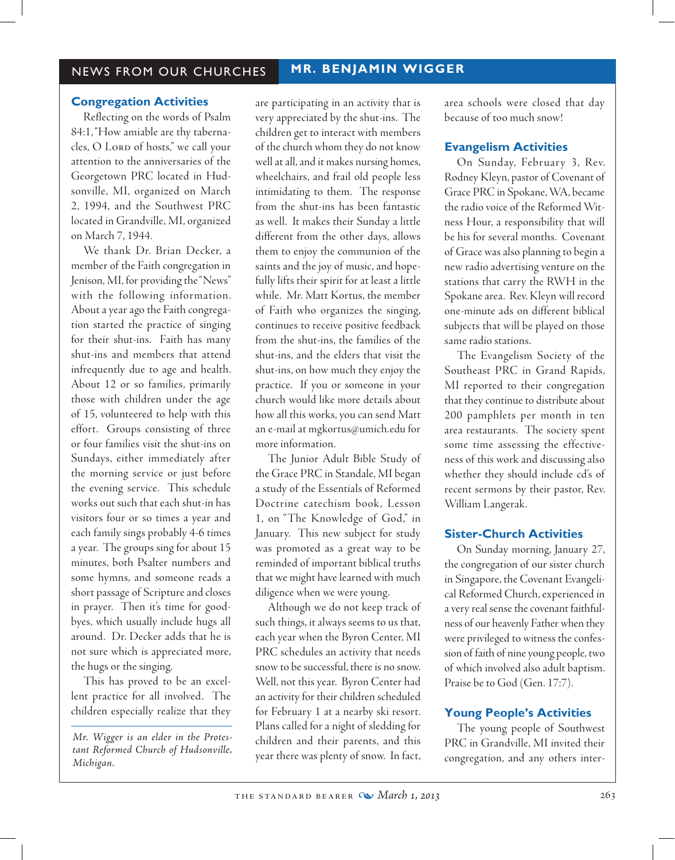# NEWS FROM OUR CHURCHES **MR. BENJAMIN WIGGER**

### **Congregation Activities**

Reflecting on the words of Psalm 84:1, "How amiable are thy tabernacles, O Lorp of hosts," we call your attention to the anniversaries of the Georgetown PRC located in Hudsonville, MI, organized on March 2, 1994, and the Southwest PRC located in Grandville, MI, organized on March 7, 1944.

We thank Dr. Brian Decker, a member of the Faith congregation in Jenison, MI, for providing the "News" with the following information. About a year ago the Faith congregation started the practice of singing for their shut-ins. Faith has many shut-ins and members that attend infrequently due to age and health. About 12 or so families, primarily those with children under the age of 15, volunteered to help with this effort. Groups consisting of three or four families visit the shut-ins on Sundays, either immediately after the morning service or just before the evening service. This schedule works out such that each shut-in has visitors four or so times a year and each family sings probably 4-6 times a year. The groups sing for about 15 minutes, both Psalter numbers and some hymns, and someone reads a short passage of Scripture and closes in prayer. Then it's time for goodbyes, which usually include hugs all around. Dr. Decker adds that he is not sure which is appreciated more, the hugs or the singing.

This has proved to be an excellent practice for all involved. The children especially realize that they

*Mr. Wigger is an elder in the Protestant Reformed Church of Hudsonville, Michigan.*

are participating in an activity that is very appreciated by the shut-ins. The children get to interact with members of the church whom they do not know well at all, and it makes nursing homes, wheelchairs, and frail old people less intimidating to them. The response from the shut-ins has been fantastic as well. It makes their Sunday a little different from the other days, allows them to enjoy the communion of the saints and the joy of music, and hopefully lifts their spirit for at least a little while. Mr. Matt Kortus, the member of Faith who organizes the singing, continues to receive positive feedback from the shut-ins, the families of the shut-ins, and the elders that visit the shut-ins, on how much they enjoy the practice. If you or someone in your church would like more details about how all this works, you can send Matt an e-mail at mgkortus@umich.edu for more information.

The Junior Adult Bible Study of the Grace PRC in Standale, MI began a study of the Essentials of Reformed Doctrine catechism book, Lesson 1, on "The Knowledge of God," in January. This new subject for study was promoted as a great way to be reminded of important biblical truths that we might have learned with much diligence when we were young.

Although we do not keep track of such things, it always seems to us that, each year when the Byron Center, MI PRC schedules an activity that needs snow to be successful, there is no snow. Well, not this year. Byron Center had an activity for their children scheduled for February 1 at a nearby ski resort. Plans called for a night of sledding for children and their parents, and this year there was plenty of snow. In fact, area schools were closed that day because of too much snow!

### **Evangelism Activities**

 On Sunday, February 3, Rev. Rodney Kleyn, pastor of Covenant of Grace PRC in Spokane, WA, became the radio voice of the Reformed Witness Hour, a responsibility that will be his for several months. Covenant of Grace was also planning to begin a new radio advertising venture on the stations that carry the RWH in the Spokane area. Rev. Kleyn will record one-minute ads on different biblical subjects that will be played on those same radio stations.

The Evangelism Society of the Southeast PRC in Grand Rapids, MI reported to their congregation that they continue to distribute about 200 pamphlets per month in ten area restaurants. The society spent some time assessing the effectiveness of this work and discussing also whether they should include cd's of recent sermons by their pastor, Rev. William Langerak.

### **Sister-Church Activities**

 On Sunday morning, January 27, the congregation of our sister church in Singapore, the Covenant Evangelical Reformed Church, experienced in a very real sense the covenant faithfulness of our heavenly Father when they were privileged to witness the confession of faith of nine young people, two of which involved also adult baptism. Praise be to God (Gen. 17:7).

### **Young People's Activities**

The young people of Southwest PRC in Grandville, MI invited their congregation, and any others inter-